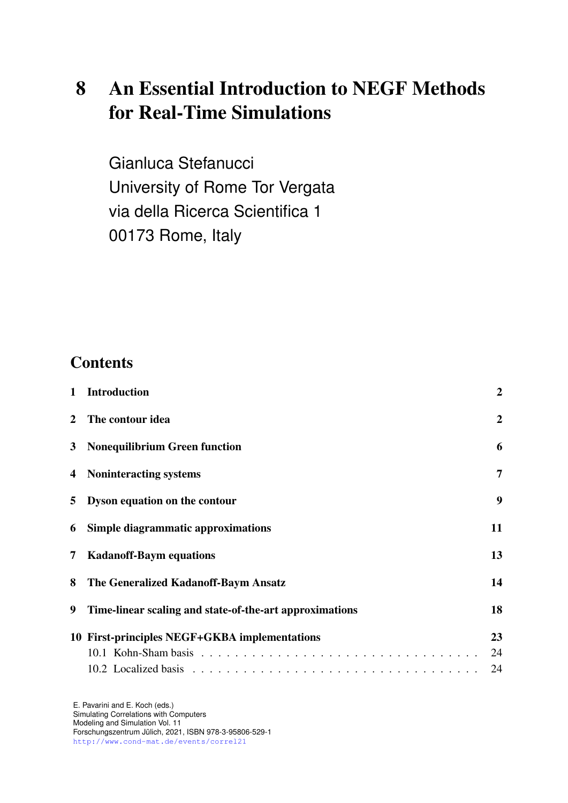# 8 An Essential Introduction to NEGF Methods for Real-Time Simulations

Gianluca Stefanucci University of Rome Tor Vergata via della Ricerca Scientifica 1 00173 Rome, Italy

## **Contents**

| $\mathbf{1}$   | <b>Introduction</b>                                     | $\overline{2}$ |
|----------------|---------------------------------------------------------|----------------|
| $\overline{2}$ | The contour idea                                        | $\overline{2}$ |
|                | 3 Nonequilibrium Green function                         | 6              |
|                | 4 Noninteracting systems                                | $\overline{7}$ |
|                | 5 Dyson equation on the contour                         | 9              |
|                | 6 Simple diagrammatic approximations                    | 11             |
| $\overline{7}$ | <b>Kadanoff-Baym equations</b>                          | 13             |
| 8              | The Generalized Kadanoff-Baym Ansatz                    | 14             |
| 9              | Time-linear scaling and state-of-the-art approximations | 18             |
|                | 10 First-principles NEGF+GKBA implementations           | 23             |
|                |                                                         | 24             |
|                |                                                         | 24             |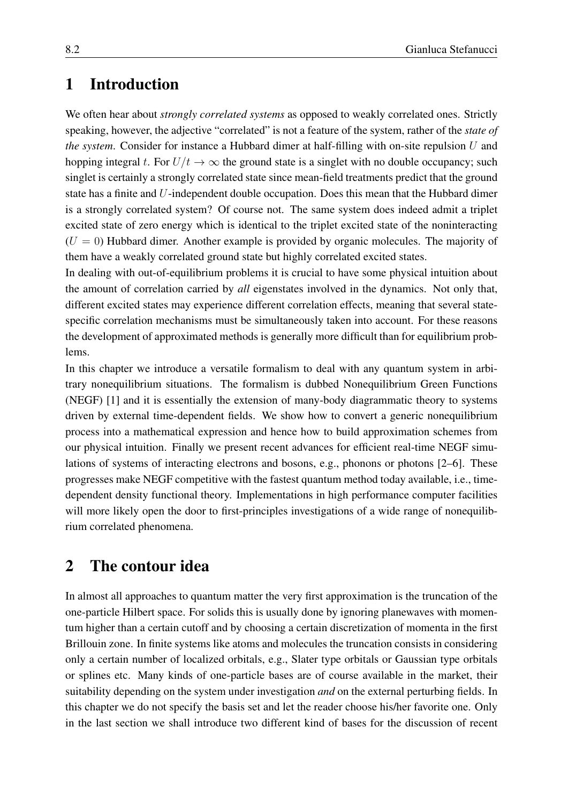## <span id="page-1-0"></span>1 Introduction

We often hear about *strongly correlated systems* as opposed to weakly correlated ones. Strictly speaking, however, the adjective "correlated" is not a feature of the system, rather of the *state of the system*. Consider for instance a Hubbard dimer at half-filling with on-site repulsion U and hopping integral t. For  $U/t \to \infty$  the ground state is a singlet with no double occupancy; such singlet is certainly a strongly correlated state since mean-field treatments predict that the ground state has a finite and U-independent double occupation. Does this mean that the Hubbard dimer is a strongly correlated system? Of course not. The same system does indeed admit a triplet excited state of zero energy which is identical to the triplet excited state of the noninteracting  $(U = 0)$  Hubbard dimer. Another example is provided by organic molecules. The majority of them have a weakly correlated ground state but highly correlated excited states.

In dealing with out-of-equilibrium problems it is crucial to have some physical intuition about the amount of correlation carried by *all* eigenstates involved in the dynamics. Not only that, different excited states may experience different correlation effects, meaning that several statespecific correlation mechanisms must be simultaneously taken into account. For these reasons the development of approximated methods is generally more difficult than for equilibrium problems.

In this chapter we introduce a versatile formalism to deal with any quantum system in arbitrary nonequilibrium situations. The formalism is dubbed Nonequilibrium Green Functions (NEGF) [\[1\]](#page-25-0) and it is essentially the extension of many-body diagrammatic theory to systems driven by external time-dependent fields. We show how to convert a generic nonequilibrium process into a mathematical expression and hence how to build approximation schemes from our physical intuition. Finally we present recent advances for efficient real-time NEGF simulations of systems of interacting electrons and bosons, e.g., phonons or photons [\[2–](#page-25-1)[6\]](#page-25-2). These progresses make NEGF competitive with the fastest quantum method today available, i.e., timedependent density functional theory. Implementations in high performance computer facilities will more likely open the door to first-principles investigations of a wide range of nonequilibrium correlated phenomena.

## <span id="page-1-1"></span>2 The contour idea

In almost all approaches to quantum matter the very first approximation is the truncation of the one-particle Hilbert space. For solids this is usually done by ignoring planewaves with momentum higher than a certain cutoff and by choosing a certain discretization of momenta in the first Brillouin zone. In finite systems like atoms and molecules the truncation consists in considering only a certain number of localized orbitals, e.g., Slater type orbitals or Gaussian type orbitals or splines etc. Many kinds of one-particle bases are of course available in the market, their suitability depending on the system under investigation *and* on the external perturbing fields. In this chapter we do not specify the basis set and let the reader choose his/her favorite one. Only in the last section we shall introduce two different kind of bases for the discussion of recent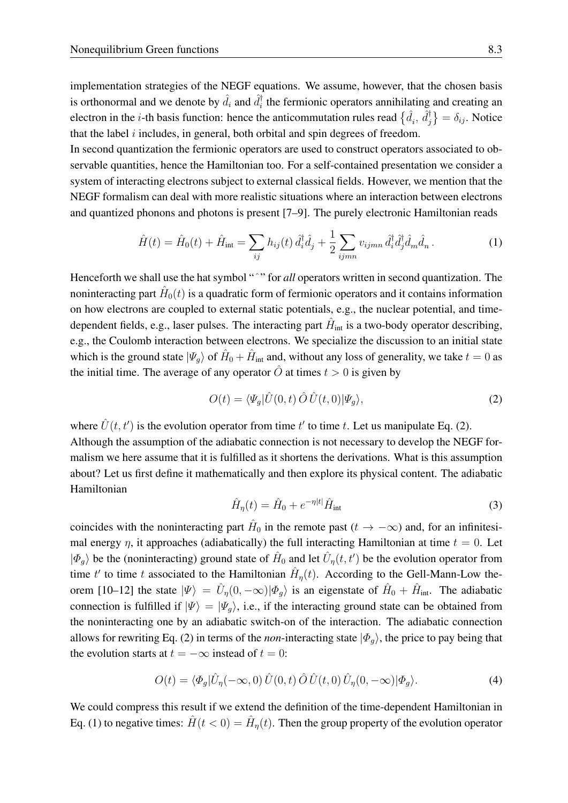implementation strategies of the NEGF equations. We assume, however, that the chosen basis is orthonormal and we denote by  $\hat{d}_i$  and  $\hat{d}_i^\dagger$  $\boldsymbol{t}_i^{\mathsf{T}}$  the fermionic operators annihilating and creating an electron in the *i*-th basis function: hence the anticommutation rules read  $\{\hat{d}_i, \hat{d}_j^{\dagger}\}$  $\{\dagger}_j\} = \delta_{ij}$ . Notice that the label  $i$  includes, in general, both orbital and spin degrees of freedom.

In second quantization the fermionic operators are used to construct operators associated to observable quantities, hence the Hamiltonian too. For a self-contained presentation we consider a system of interacting electrons subject to external classical fields. However, we mention that the NEGF formalism can deal with more realistic situations where an interaction between electrons and quantized phonons and photons is present [\[7](#page-25-3)[–9\]](#page-25-4). The purely electronic Hamiltonian reads

<span id="page-2-1"></span>
$$
\hat{H}(t) = \hat{H}_0(t) + \hat{H}_{\text{int}} = \sum_{ij} h_{ij}(t) \, \hat{d}_i^\dagger \hat{d}_j + \frac{1}{2} \sum_{ijmn} v_{ijmn} \, \hat{d}_i^\dagger \hat{d}_j^\dagger \hat{d}_m \hat{d}_n \,. \tag{1}
$$

Henceforth we shall use the hat symbol "<sup>^</sup>" for *all* operators written in second quantization. The noninteracting part  $\hat{H}_0(t)$  is a quadratic form of fermionic operators and it contains information on how electrons are coupled to external static potentials, e.g., the nuclear potential, and timedependent fields, e.g., laser pulses. The interacting part  $\hat{H}_{\text{int}}$  is a two-body operator describing, e.g., the Coulomb interaction between electrons. We specialize the discussion to an initial state which is the ground state  $|\Psi_g\rangle$  of  $\hat{H}_0 + \hat{H}_{int}$  and, without any loss of generality, we take  $t = 0$  as the initial time. The average of any operator O at times  $t > 0$  is given by

<span id="page-2-0"></span>
$$
O(t) = \langle \Psi_g | \hat{U}(0, t) \, \hat{O} \, \hat{U}(t, 0) | \Psi_g \rangle,\tag{2}
$$

where  $\hat{U}(t, t')$  is the evolution operator from time t' to time t. Let us manipulate Eq. [\(2\)](#page-2-0). Although the assumption of the adiabatic connection is not necessary to develop the NEGF formalism we here assume that it is fulfilled as it shortens the derivations. What is this assumption about? Let us first define it mathematically and then explore its physical content. The adiabatic Hamiltonian

$$
\hat{H}_{\eta}(t) = \hat{H}_0 + e^{-\eta|t|} \hat{H}_{\text{int}}
$$
\n(3)

coincides with the noninteracting part  $\hat{H}_0$  in the remote past  $(t \to -\infty)$  and, for an infinitesimal energy  $\eta$ , it approaches (adiabatically) the full interacting Hamiltonian at time  $t = 0$ . Let  $|\Phi_g\rangle$  be the (noninteracting) ground state of  $\hat{H}_0$  and let  $\hat{U}_\eta(t,t')$  be the evolution operator from time t' to time t associated to the Hamiltonian  $\hat{H}_{\eta}(t)$ . According to the Gell-Mann-Low the-orem [\[10–](#page-25-5)[12\]](#page-25-6) the state  $|\Psi\rangle = \hat{U}_{\eta}(0, -\infty)|\Phi_{g}\rangle$  is an eigenstate of  $\hat{H}_{0} + \hat{H}_{int}$ . The adiabatic connection is fulfilled if  $|\Psi\rangle = |\Psi_q\rangle$ , i.e., if the interacting ground state can be obtained from the noninteracting one by an adiabatic switch-on of the interaction. The adiabatic connection allows for rewriting Eq. [\(2\)](#page-2-0) in terms of the *non*-interacting state  $|\Phi_{g}\rangle$ , the price to pay being that the evolution starts at  $t = -\infty$  instead of  $t = 0$ :

<span id="page-2-2"></span>
$$
O(t) = \langle \Phi_g | \hat{U}_\eta(-\infty, 0) \hat{U}(0, t) \hat{O} \hat{U}(t, 0) \hat{U}_\eta(0, -\infty) | \Phi_g \rangle.
$$
 (4)

We could compress this result if we extend the definition of the time-dependent Hamiltonian in Eq. [\(1\)](#page-2-1) to negative times:  $\hat{H}(t < 0) = \hat{H}_{\eta}(t)$ . Then the group property of the evolution operator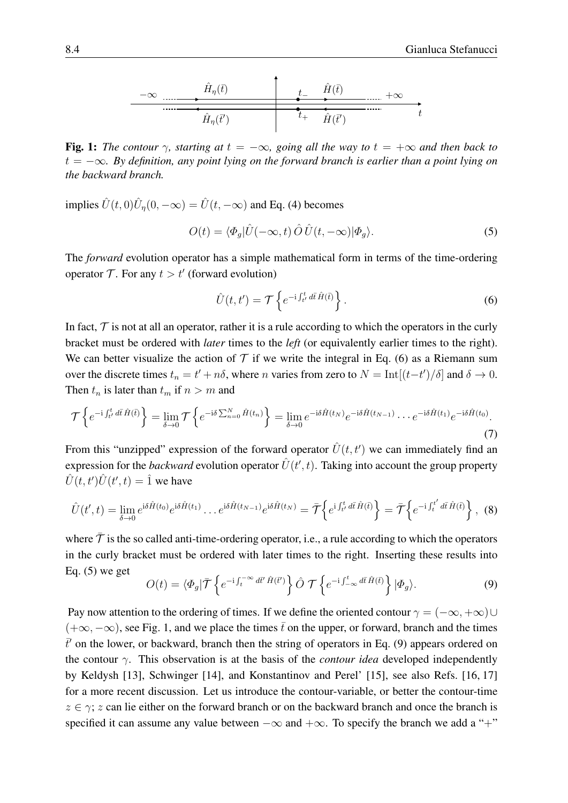$$
\begin{array}{c|c}\n-\infty & \cdots & \hat{H}_{\eta}(\bar{t}) & t_{-} & \hat{H}(\bar{t}) & +\infty \\
\hline\n\vdots & \ddots & \ddots & \ddots & \ddots \\
\hline\n\hat{H}_{\eta}(\bar{t}') & t_{+} & \hat{H}(\bar{t}') & t_{-} \\
\end{array}
$$

<span id="page-3-2"></span>Fig. 1: *The contour*  $\gamma$ *, starting at*  $t = -\infty$ *, going all the way to*  $t = +\infty$  *and then back to* t = −∞*. By definition, any point lying on the forward branch is earlier than a point lying on the backward branch.*

implies  $\hat{U}(t, 0)\hat{U}_{\eta}(0, -\infty) = \hat{U}(t, -\infty)$  and Eq. [\(4\)](#page-2-2) becomes

<span id="page-3-1"></span>
$$
O(t) = \langle \Phi_g | \hat{U}(-\infty, t) \hat{O} \hat{U}(t, -\infty) | \Phi_g \rangle.
$$
 (5)

The *forward* evolution operator has a simple mathematical form in terms of the time-ordering operator  $\mathcal{T}$ . For any  $t > t'$  (forward evolution)

<span id="page-3-0"></span>
$$
\hat{U}(t,t') = \mathcal{T}\left\{e^{-i\int_{t'}^{t} d\bar{t}\,\hat{H}(\bar{t})}\right\}.
$$
\n(6)

In fact,  $\mathcal T$  is not at all an operator, rather it is a rule according to which the operators in the curly bracket must be ordered with *later* times to the *left* (or equivalently earlier times to the right). We can better visualize the action of  $\mathcal T$  if we write the integral in Eq. [\(6\)](#page-3-0) as a Riemann sum over the discrete times  $t_n = t' + n\delta$ , where *n* varies from zero to  $N = \text{Int}[(t-t')/\delta]$  and  $\delta \to 0$ . Then  $t_n$  is later than  $t_m$  if  $n > m$  and

$$
\mathcal{T}\left\{e^{-i\int_{t'}^{t}d\bar{t}\hat{H}(\bar{t})}\right\} = \lim_{\delta \to 0} \mathcal{T}\left\{e^{-i\delta\sum_{n=0}^{N}\hat{H}(t_n)}\right\} = \lim_{\delta \to 0} e^{-i\delta\hat{H}(t_N)}e^{-i\delta\hat{H}(t_{N-1})}\cdots e^{-i\delta\hat{H}(t_1)}e^{-i\delta\hat{H}(t_0)}.
$$
\n(7)

From this "unzipped" expression of the forward operator  $\hat{U}(t, t')$  we can immediately find an expression for the *backward* evolution operator  $\hat{U}(t', t)$ . Taking into account the group property  $\hat{U}(t, t')\hat{U}(t', t) = \hat{1}$  we have

<span id="page-3-4"></span>
$$
\hat{U}(t',t) = \lim_{\delta \to 0} e^{i\delta \hat{H}(t_0)} e^{i\delta \hat{H}(t_1)} \dots e^{i\delta \hat{H}(t_{N-1})} e^{i\delta \hat{H}(t_N)} = \overline{\mathcal{T}} \left\{ e^{i \int_{t'}^t d\overline{t} \hat{H}(\overline{t})} \right\} = \overline{\mathcal{T}} \left\{ e^{-i \int_t^{t'} d\overline{t} \hat{H}(\overline{t})} \right\},
$$
(8)

where  $\bar{\tau}$  is the so called anti-time-ordering operator, i.e., a rule according to which the operators in the curly bracket must be ordered with later times to the right. Inserting these results into Eq.  $(5)$  we get

<span id="page-3-3"></span>
$$
O(t) = \langle \Phi_g | \bar{\mathcal{T}} \left\{ e^{-i \int_t^{-\infty} d\bar{t}' \hat{H}(\bar{t}')} \right\} \hat{O} \, \mathcal{T} \left\{ e^{-i \int_{-\infty}^t d\bar{t} \hat{H}(\bar{t})} \right\} | \Phi_g \rangle. \tag{9}
$$

Pay now attention to the ordering of times. If we define the oriented contour  $\gamma = (-\infty, +\infty) \cup$  $(+\infty, -\infty)$ , see Fig. [1,](#page-3-2) and we place the times  $\bar{t}$  on the upper, or forward, branch and the times  $\bar{t}'$  on the lower, or backward, branch then the string of operators in Eq. [\(9\)](#page-3-3) appears ordered on the contour γ. This observation is at the basis of the *contour idea* developed independently by Keldysh [\[13\]](#page-25-7), Schwinger [\[14\]](#page-25-8), and Konstantinov and Perel' [\[15\]](#page-25-9), see also Refs. [\[16,](#page-25-10) [17\]](#page-25-11) for a more recent discussion. Let us introduce the contour-variable, or better the contour-time  $z \in \gamma$ ; z can lie either on the forward branch or on the backward branch and once the branch is specified it can assume any value between  $-\infty$  and  $+\infty$ . To specify the branch we add a "+"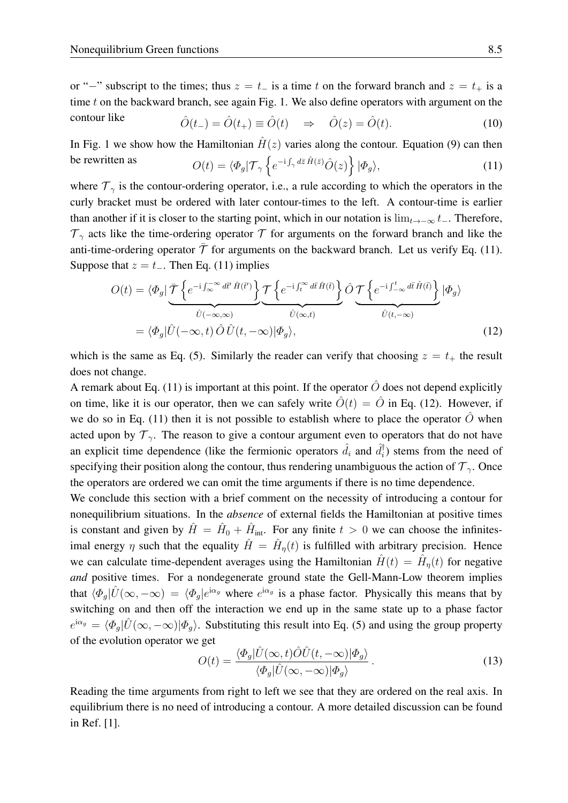or "−" subscript to the times; thus  $z = t_$  is a time t on the forward branch and  $z = t_+$  is a time  $t$  on the backward branch, see again Fig. [1.](#page-3-2) We also define operators with argument on the contour like  $\hat{O}(t_{-}) = \hat{O}(t_{+}) \equiv \hat{O}(t) \Rightarrow \hat{O}(z) = \hat{O}(t).$  (10)

<span id="page-4-0"></span>In Fig. [1](#page-3-2) we show how the Hamiltonian  $\hat{H}(z)$  varies along the contour. Equation [\(9\)](#page-3-3) can then be rewritten as  $O(t) = \langle \Phi_g | \mathcal{T}_\gamma \left\{ e^{-i \int_\gamma d\bar{z} \hat{H}(\bar{z})} \hat{O}(z) \right\} | \Phi_g \rangle,$  (11)

where  $\mathcal{T}_{\gamma}$  is the contour-ordering operator, i.e., a rule according to which the operators in the curly bracket must be ordered with later contour-times to the left. A contour-time is earlier than another if it is closer to the starting point, which in our notation is  $\lim_{t\to-\infty} t_$ . Therefore,  $\mathcal{T}_{\gamma}$  acts like the time-ordering operator  $\mathcal{T}$  for arguments on the forward branch and like the anti-time-ordering operator  $\bar{\mathcal{T}}$  for arguments on the backward branch. Let us verify Eq. [\(11\)](#page-4-0). Suppose that  $z = t_-\$ . Then Eq. [\(11\)](#page-4-0) implies

<span id="page-4-1"></span>
$$
O(t) = \langle \Phi_g | \underbrace{\overline{\mathcal{T}} \left\{ e^{-i \int_{-\infty}^{-\infty} d\vec{t} \cdot \hat{H}(\vec{t}')} \right\}}_{\hat{U}(-\infty, \infty)} \underbrace{\mathcal{T} \left\{ e^{-i \int_{t}^{\infty} d\vec{t} \cdot \hat{H}(\vec{t})} \right\}}_{\hat{U}(\infty, t)} \hat{O} \underbrace{\mathcal{T} \left\{ e^{-i \int_{-\infty}^{t} d\vec{t} \cdot \hat{H}(\vec{t})} \right\}}_{\hat{U}(t, -\infty)} | \Phi_g \rangle
$$
\n
$$
= \langle \Phi_g | \hat{U}(-\infty, t) \hat{O} \hat{U}(t, -\infty) | \Phi_g \rangle,
$$
\n(12)

which is the same as Eq. [\(5\)](#page-3-1). Similarly the reader can verify that choosing  $z = t_+$  the result does not change.

A remark about Eq. [\(11\)](#page-4-0) is important at this point. If the operator  $\hat{O}$  does not depend explicitly on time, like it is our operator, then we can safely write  $\hat{O}(t) = \hat{O}$  in Eq. [\(12\)](#page-4-1). However, if we do so in Eq. [\(11\)](#page-4-0) then it is not possible to establish where to place the operator  $\hat{O}$  when acted upon by  $\mathcal{T}_{\gamma}$ . The reason to give a contour argument even to operators that do not have an explicit time dependence (like the fermionic operators  $\hat{d}_i$  and  $\hat{d}_i^{\dagger}$  $i$ ) stems from the need of specifying their position along the contour, thus rendering unambiguous the action of  $\mathcal{T}_{\gamma}$ . Once the operators are ordered we can omit the time arguments if there is no time dependence.

We conclude this section with a brief comment on the necessity of introducing a contour for nonequilibrium situations. In the *absence* of external fields the Hamiltonian at positive times is constant and given by  $\hat{H} = \hat{H}_0 + \hat{H}_{int}$ . For any finite  $t > 0$  we can choose the infinitesimal energy  $\eta$  such that the equality  $\hat{H} = \hat{H}_{\eta}(t)$  is fulfilled with arbitrary precision. Hence we can calculate time-dependent averages using the Hamiltonian  $\hat{H}(t) = \hat{H}_{\eta}(t)$  for negative *and* positive times. For a nondegenerate ground state the Gell-Mann-Low theorem implies that  $\langle \Phi_g | \hat{U}(\infty, -\infty) \rangle = \langle \Phi_g | e^{i\alpha_g} \rangle$  where  $e^{i\alpha_g}$  is a phase factor. Physically this means that by switching on and then off the interaction we end up in the same state up to a phase factor  $e^{i\alpha_g} = \langle \Phi_g | \hat{U}(\infty, -\infty) | \Phi_g \rangle$ . Substituting this result into Eq. [\(5\)](#page-3-1) and using the group property of the evolution operator we get

$$
O(t) = \frac{\langle \Phi_g | \hat{U}(\infty, t) \hat{O} \hat{U}(t, -\infty) | \Phi_g \rangle}{\langle \Phi_g | \hat{U}(\infty, -\infty) | \Phi_g \rangle}.
$$
\n(13)

Reading the time arguments from right to left we see that they are ordered on the real axis. In equilibrium there is no need of introducing a contour. A more detailed discussion can be found in Ref. [\[1\]](#page-25-0).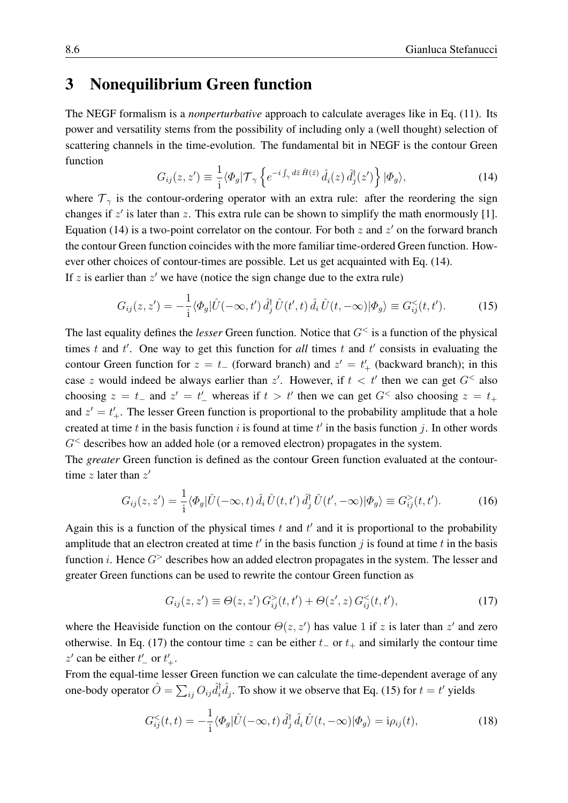#### <span id="page-5-0"></span>3 Nonequilibrium Green function

The NEGF formalism is a *nonperturbative* approach to calculate averages like in Eq. [\(11\)](#page-4-0). Its power and versatility stems from the possibility of including only a (well thought) selection of scattering channels in the time-evolution. The fundamental bit in NEGF is the contour Green function

<span id="page-5-1"></span>
$$
G_{ij}(z, z') \equiv \frac{1}{i} \langle \Phi_g | \mathcal{T}_{\gamma} \left\{ e^{-i \int_{\gamma} d\bar{z} \hat{H}(\bar{z})} \hat{d}_i(z) \hat{d}_j^{\dagger}(z') \right\} | \Phi_g \rangle, \tag{14}
$$

where  $\mathcal{T}_{\gamma}$  is the contour-ordering operator with an extra rule: after the reordering the sign changes if  $z'$  is later than  $z$ . This extra rule can be shown to simplify the math enormously [\[1\]](#page-25-0). Equation [\(14\)](#page-5-1) is a two-point correlator on the contour. For both  $z$  and  $z'$  on the forward branch the contour Green function coincides with the more familiar time-ordered Green function. However other choices of contour-times are possible. Let us get acquainted with Eq. [\(14\)](#page-5-1). If z is earlier than  $z'$  we have (notice the sign change due to the extra rule)

<span id="page-5-3"></span>
$$
G_{ij}(z, z') = -\frac{1}{i} \langle \Phi_g | \hat{U}(-\infty, t') \hat{d}_j^{\dagger} \hat{U}(t', t) \hat{d}_i \hat{U}(t, -\infty) | \Phi_g \rangle \equiv G_{ij}^{<}(t, t'). \tag{15}
$$

The last equality defines the *lesser* Green function. Notice that  $G^{\lt}$  is a function of the physical times  $t$  and  $t'$ . One way to get this function for *all* times  $t$  and  $t'$  consists in evaluating the contour Green function for  $z = t_-\$  (forward branch) and  $z' = t'_+$  (backward branch); in this case z would indeed be always earlier than z'. However, if  $t < t'$  then we can get  $G^{\lt}$  also choosing  $z = t_-\,$  and  $z' = t'_-\,$  whereas if  $t > t'$  then we can get  $G^<$  also choosing  $z = t_+\,$ and  $z' = t'_{+}$ . The lesser Green function is proportional to the probability amplitude that a hole created at time t in the basis function i is found at time  $t'$  in the basis function j. In other words  $G<sup>th</sup>$  describes how an added hole (or a removed electron) propagates in the system.

The *greater* Green function is defined as the contour Green function evaluated at the contourtime z later than  $z'$ 

<span id="page-5-4"></span>
$$
G_{ij}(z, z') = \frac{1}{i} \langle \Phi_g | \hat{U}(-\infty, t) \hat{d}_i \hat{U}(t, t') \hat{d}_j^{\dagger} \hat{U}(t', -\infty) | \Phi_g \rangle \equiv G_{ij}^>(t, t'). \tag{16}
$$

Again this is a function of the physical times  $t$  and  $t'$  and it is proportional to the probability amplitude that an electron created at time  $t'$  in the basis function j is found at time  $t$  in the basis function *i*. Hence  $G^>$  describes how an added electron propagates in the system. The lesser and greater Green functions can be used to rewrite the contour Green function as

<span id="page-5-2"></span>
$$
G_{ij}(z, z') \equiv \Theta(z, z') G_{ij}^{>}(t, t') + \Theta(z', z) G_{ij}^{<}(t, t'),
$$
\n(17)

where the Heaviside function on the contour  $\Theta(z, z')$  has value 1 if z is later than  $z'$  and zero otherwise. In Eq. [\(17\)](#page-5-2) the contour time z can be either  $t_$  or  $t_+$  and similarly the contour time z' can be either  $t'$  or  $t'$ .

From the equal-time lesser Green function we can calculate the time-dependent average of any one-body operator  $\hat{O} = \sum_{ij} O_{ij} \hat{d}_i^{\dagger}$  ${}_{i}^{\dagger} \hat{d}_{j}$ . To show it we observe that Eq. [\(15\)](#page-5-3) for  $t = t'$  yields

<span id="page-5-5"></span>
$$
G_{ij}^{<}(t,t) = -\frac{1}{i}\langle \Phi_g | \hat{U}(-\infty, t) \hat{d}_j^{\dagger} \hat{d}_i \hat{U}(t, -\infty) | \Phi_g \rangle = i\rho_{ij}(t), \qquad (18)
$$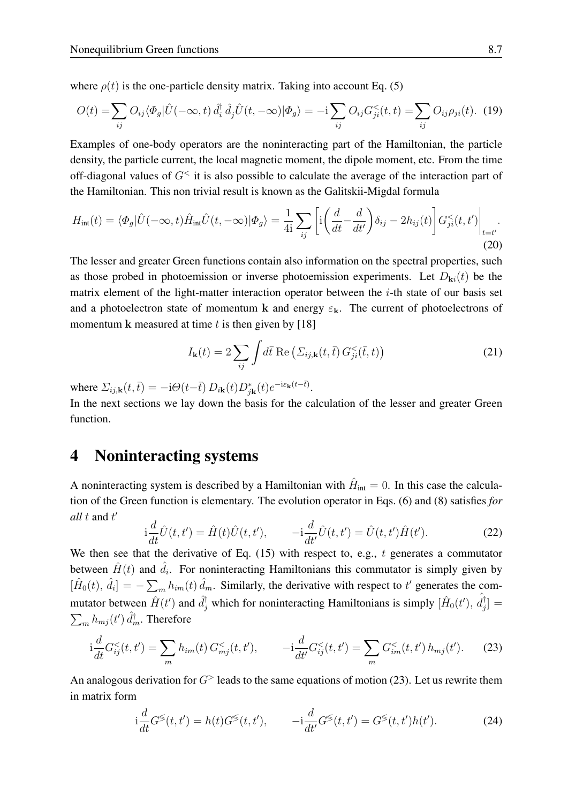where  $\rho(t)$  is the one-particle density matrix. Taking into account Eq. [\(5\)](#page-3-1)

$$
O(t) = \sum_{ij} O_{ij} \langle \Phi_g | \hat{U}(-\infty, t) \hat{d}_i^\dagger \hat{d}_j \hat{U}(t, -\infty) | \Phi_g \rangle = -i \sum_{ij} O_{ij} G_{ji}^{\langle \langle} (t, t) \rangle = \sum_{ij} O_{ij} \rho_{ji}(t). \tag{19}
$$

Examples of one-body operators are the noninteracting part of the Hamiltonian, the particle density, the particle current, the local magnetic moment, the dipole moment, etc. From the time off-diagonal values of  $G^{\lt}$  it is also possible to calculate the average of the interaction part of the Hamiltonian. This non trivial result is known as the Galitskii-Migdal formula

$$
H_{\rm int}(t) = \langle \Phi_g | \hat{U}(-\infty, t) \hat{H}_{\rm int} \hat{U}(t, -\infty) | \Phi_g \rangle = \frac{1}{4i} \sum_{ij} \left[ i \left( \frac{d}{dt} - \frac{d}{dt'} \right) \delta_{ij} - 2h_{ij}(t) \right] G_{ji}^{\leq}(t, t') \Big|_{t=t'}.
$$
\n(20)

The lesser and greater Green functions contain also information on the spectral properties, such as those probed in photoemission or inverse photoemission experiments. Let  $D_{\mathbf{k}i}(t)$  be the matrix element of the light-matter interaction operator between the  $i$ -th state of our basis set and a photoelectron state of momentum k and energy  $\varepsilon_k$ . The current of photoelectrons of momentum k measured at time  $t$  is then given by [\[18\]](#page-25-12)

$$
I_{\mathbf{k}}(t) = 2 \sum_{ij} \int d\bar{t} \operatorname{Re} \left( \Sigma_{ij,\mathbf{k}}(t,\bar{t}) \, G_{ji}^{<}(\bar{t},t) \right) \tag{21}
$$

where  $\Sigma_{ij,\mathbf{k}}(t,\bar{t}) = -i\Theta(t-\bar{t}) D_{i\mathbf{k}}(t)D_{j\mathbf{k}}^{*}(t)e^{-i\varepsilon_{\mathbf{k}}(t-\bar{t})}$ .

In the next sections we lay down the basis for the calculation of the lesser and greater Green function.

#### <span id="page-6-0"></span>4 Noninteracting systems

A noninteracting system is described by a Hamiltonian with  $\hat{H}_{\text{int}} = 0$ . In this case the calculation of the Green function is elementary. The evolution operator in Eqs. [\(6\)](#page-3-0) and [\(8\)](#page-3-4) satisfies *for all*  $t$  and  $t'$ 

$$
i\frac{d}{dt}\hat{U}(t,t') = \hat{H}(t)\hat{U}(t,t'), \qquad -i\frac{d}{dt'}\hat{U}(t,t') = \hat{U}(t,t')\hat{H}(t').
$$
 (22)

We then see that the derivative of Eq. [\(15\)](#page-5-3) with respect to, e.g., t generates a commutator between  $\hat{H}(t)$  and  $\hat{d}_i$ . For noninteracting Hamiltonians this commutator is simply given by  $[\hat{H}_0(t), \hat{d}_i] = -\sum_m h_{im}(t) \hat{d}_m$ . Similarly, the derivative with respect to t' generates the commutator between  $\hat{H}(t')$  and  $\hat{d}_j^{\dagger}$  which for noninteracting Hamiltonians is simply  $[\hat{H}_0(t'), \hat{d}_j^{\dagger}]$  $_{j}^{\intercal}]$   $=$  $\sum_{m}h_{mj}(t')\,\hat{d}_m^\dagger$ . Therefore

<span id="page-6-1"></span>
$$
i\frac{d}{dt}G_{ij}^{<}(t,t') = \sum_{m} h_{im}(t) G_{mj}^{<}(t,t'), \qquad -i\frac{d}{dt'}G_{ij}^{<}(t,t') = \sum_{m} G_{im}^{<}(t,t') h_{mj}(t'). \tag{23}
$$

An analogous derivation for  $G^>$  leads to the same equations of motion [\(23\)](#page-6-1). Let us rewrite them in matrix form

<span id="page-6-2"></span>
$$
i\frac{d}{dt}G^{\lessgtr}(t,t') = h(t)G^{\lessgtr}(t,t'), \qquad -i\frac{d}{dt'}G^{\lessgtr}(t,t') = G^{\lessgtr}(t,t')h(t'). \tag{24}
$$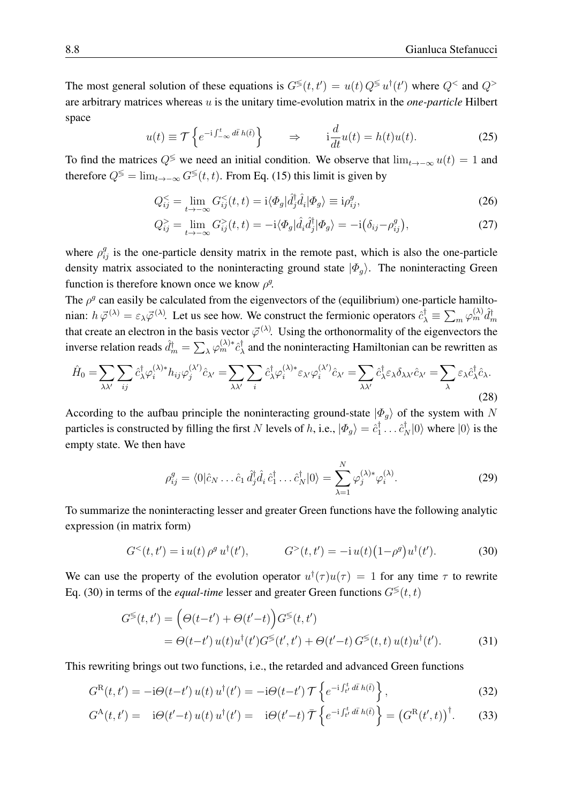The most general solution of these equations is  $G^{\lessgtr}(t, t') = u(t) Q^{\lessgtr} u^{\dagger}(t')$  where  $Q^{\lessgtr}$  and  $Q^{\lessgtr}$ are arbitrary matrices whereas u is the unitary time-evolution matrix in the *one-particle* Hilbert space

$$
u(t) \equiv \mathcal{T}\left\{e^{-i\int_{-\infty}^{t} d\bar{t} h(\bar{t})}\right\} \qquad \Rightarrow \qquad i\frac{d}{dt}u(t) = h(t)u(t). \tag{25}
$$

To find the matrices  $Q^{\leq}$  we need an initial condition. We observe that  $\lim_{t\to-\infty} u(t) = 1$  and therefore  $Q^{\lessgtr} = \lim_{t \to -\infty} G^{\lessgtr}(t, t)$ . From Eq. [\(15\)](#page-5-3) this limit is given by

$$
Q_{ij}^{<} = \lim_{t \to -\infty} G_{ij}^{<}(t, t) = \mathrm{i} \langle \Phi_g | \hat{d}_j^{\dagger} \hat{d}_i | \Phi_g \rangle \equiv \mathrm{i} \rho_{ij}^g,\tag{26}
$$

$$
Q_{ij}^{>} = \lim_{t \to -\infty} G_{ij}^{>}(t, t) = -i \langle \Phi_g | \hat{d}_i \hat{d}_j^{\dagger} | \Phi_g \rangle = -i \big( \delta_{ij} - \rho_{ij}^g \big), \tag{27}
$$

where  $\rho_{ij}^g$  is the one-particle density matrix in the remote past, which is also the one-particle density matrix associated to the noninteracting ground state  $|\Phi_{q}\rangle$ . The noninteracting Green function is therefore known once we know  $\rho^g$ .

The  $\rho^g$  can easily be calculated from the eigenvectors of the (equilibrium) one-particle hamiltonian:  $h \vec{\varphi}^{(\lambda)} = \varepsilon_{\lambda} \vec{\varphi}^{(\lambda)}$ . Let us see how. We construct the fermionic operators  $\hat{c}_{\lambda}^{\dagger} \equiv \sum_{m} \varphi_{m}^{(\lambda)} \hat{d}_{m}^{\dagger}$ that create an electron in the basis vector  $\vec{\varphi}^{(\lambda)}$ . Using the orthonormality of the eigenvectors the inverse relation reads  $\hat{d}_m^{\dagger} = \sum_{\lambda} \varphi_m^{(\lambda)*} \hat{c}_{\lambda}^{\dagger}$  $\lambda$  and the noninteracting Hamiltonian can be rewritten as

$$
\hat{H}_0 = \sum_{\lambda \lambda'} \sum_{ij} \hat{c}_{\lambda}^{\dagger} \varphi_i^{(\lambda) *} h_{ij} \varphi_j^{(\lambda')} \hat{c}_{\lambda'} = \sum_{\lambda \lambda'} \sum_i \hat{c}_{\lambda}^{\dagger} \varphi_i^{(\lambda) *} \varepsilon_{\lambda'} \varphi_i^{(\lambda')} \hat{c}_{\lambda'} = \sum_{\lambda \lambda'} \hat{c}_{\lambda}^{\dagger} \varepsilon_{\lambda} \delta_{\lambda \lambda'} \hat{c}_{\lambda'} = \sum_{\lambda} \varepsilon_{\lambda} \hat{c}_{\lambda}^{\dagger} \hat{c}_{\lambda}.
$$
\n(28)

According to the aufbau principle the noninteracting ground-state  $|\Phi_{q}\rangle$  of the system with N particles is constructed by filling the first N levels of h, i.e.,  $|\Phi_g\rangle = \hat{c}_1^{\dagger}$  $\hat{i}_1^{\dagger} \dots \hat{c}_N^{\dagger} |0\rangle$  where  $|0\rangle$  is the empty state. We then have

<span id="page-7-1"></span>
$$
\rho_{ij}^g = \langle 0 | \hat{c}_N \dots \hat{c}_1 \, \hat{d}_j^\dagger \hat{d}_i \, \hat{c}_1^\dagger \dots \hat{c}_N^\dagger | 0 \rangle = \sum_{\lambda=1}^N \varphi_j^{(\lambda)*} \varphi_i^{(\lambda)}.
$$

To summarize the noninteracting lesser and greater Green functions have the following analytic expression (in matrix form)

<span id="page-7-0"></span>
$$
G^{<}(t,t') = i u(t) \rho^{g} u^{\dagger}(t'), \qquad G^{>}(t,t') = -i u(t) (1 - \rho^{g}) u^{\dagger}(t'). \qquad (30)
$$

We can use the property of the evolution operator  $u^{\dagger}(\tau)u(\tau) = 1$  for any time  $\tau$  to rewrite Eq. [\(30\)](#page-7-0) in terms of the *equal-time* lesser and greater Green functions  $G^{\lessgtr}(t, t)$ 

<span id="page-7-3"></span><span id="page-7-2"></span>
$$
G^{\leq}(t,t') = \left(\Theta(t-t') + \Theta(t'-t)\right)G^{\leq}(t,t')
$$
  
= 
$$
\Theta(t-t')u(t)u^{\dagger}(t')G^{\leq}(t',t') + \Theta(t'-t)G^{\leq}(t,t)u(t)u^{\dagger}(t').
$$
 (31)

This rewriting brings out two functions, i.e., the retarded and advanced Green functions

$$
G^{\rm R}(t,t') = -\mathrm{i}\Theta(t-t')\,u(t)\,u^{\dagger}(t') = -\mathrm{i}\Theta(t-t')\,\mathcal{T}\left\{e^{-\mathrm{i}\int_{t'}^t d\bar{t}\,h(\bar{t})}\right\},\tag{32}
$$

$$
G^{\mathcal{A}}(t,t') = \dot{\mathcal{B}}(t'-t) u(t) u^{\dagger}(t') = \dot{\mathcal{B}}(t'-t) \bar{\mathcal{T}} \left\{ e^{-i \int_{t'}^{t} d\bar{t} h(\bar{t})} \right\} = \left( G^{\mathcal{R}}(t',t) \right)^{\dagger} . \tag{33}
$$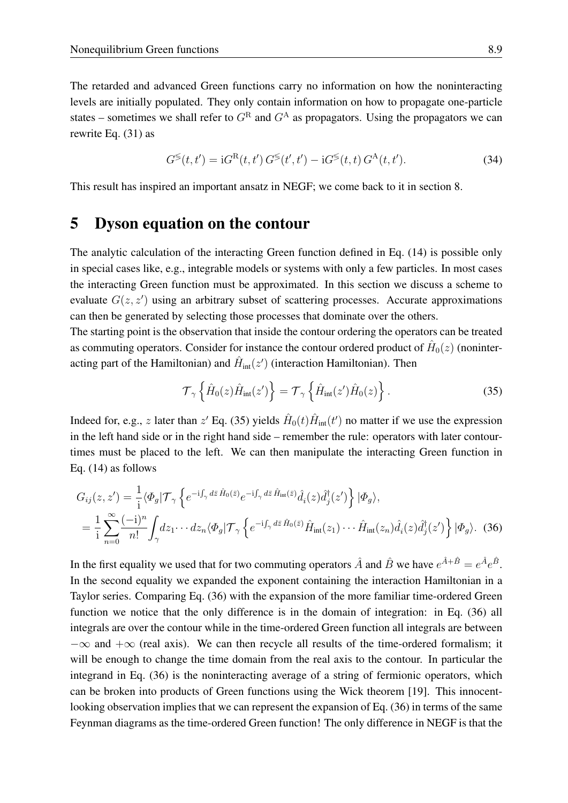The retarded and advanced Green functions carry no information on how the noninteracting levels are initially populated. They only contain information on how to propagate one-particle states – sometimes we shall refer to  $G<sup>R</sup>$  and  $G<sup>A</sup>$  as propagators. Using the propagators we can rewrite Eq. [\(31\)](#page-7-1) as

<span id="page-8-3"></span>
$$
G^{\lessgtr}(t,t') = iG^{\rm R}(t,t')\,G^{\lessgtr}(t',t') - iG^{\lessgtr}(t,t)\,G^{\rm A}(t,t').\tag{34}
$$

This result has inspired an important ansatz in NEGF; we come back to it in section [8.](#page-13-0)

#### <span id="page-8-0"></span>5 Dyson equation on the contour

The analytic calculation of the interacting Green function defined in Eq. [\(14\)](#page-5-1) is possible only in special cases like, e.g., integrable models or systems with only a few particles. In most cases the interacting Green function must be approximated. In this section we discuss a scheme to evaluate  $G(z, z')$  using an arbitrary subset of scattering processes. Accurate approximations can then be generated by selecting those processes that dominate over the others.

The starting point is the observation that inside the contour ordering the operators can be treated as commuting operators. Consider for instance the contour ordered product of  $\hat{H}_0(z)$  (noninteracting part of the Hamiltonian) and  $\hat{H}_{\text{int}}(z')$  (interaction Hamiltonian). Then

<span id="page-8-2"></span><span id="page-8-1"></span>
$$
\mathcal{T}_{\gamma}\left\{\hat{H}_{0}(z)\hat{H}_{\text{int}}(z')\right\} = \mathcal{T}_{\gamma}\left\{\hat{H}_{\text{int}}(z')\hat{H}_{0}(z)\right\}.
$$
\n(35)

Indeed for, e.g., z later than  $z'$  Eq. [\(35\)](#page-8-1) yields  $\hat{H}_0(t)\hat{H}_{int}(t')$  no matter if we use the expression in the left hand side or in the right hand side – remember the rule: operators with later contourtimes must be placed to the left. We can then manipulate the interacting Green function in Eq. [\(14\)](#page-5-1) as follows

$$
G_{ij}(z, z') = \frac{1}{i} \langle \Phi_g | \mathcal{T}_{\gamma} \left\{ e^{-i \int_{\gamma} d\bar{z} \hat{H}_0(\bar{z})} e^{-i \int_{\gamma} d\bar{z} \hat{H}_{int}(\bar{z})} \hat{d}_i(z) \hat{d}_j^{\dagger}(z') \right\} | \Phi_g \rangle,
$$
  
= 
$$
\frac{1}{i} \sum_{n=0}^{\infty} \frac{(-i)^n}{n!} \int_{\gamma} dz_1 \cdots dz_n \langle \Phi_g | \mathcal{T}_{\gamma} \left\{ e^{-i \int_{\gamma} d\bar{z} \hat{H}_0(\bar{z})} \hat{H}_{int}(z_1) \cdots \hat{H}_{int}(z_n) \hat{d}_i(z) \hat{d}_j^{\dagger}(z') \right\} | \Phi_g \rangle.
$$
 (36)

In the first equality we used that for two commuting operators  $\hat{A}$  and  $\hat{B}$  we have  $e^{\hat{A}+\hat{B}}=e^{\hat{A}}e^{\hat{B}}$ . In the second equality we expanded the exponent containing the interaction Hamiltonian in a Taylor series. Comparing Eq. [\(36\)](#page-8-2) with the expansion of the more familiar time-ordered Green function we notice that the only difference is in the domain of integration: in Eq. [\(36\)](#page-8-2) all integrals are over the contour while in the time-ordered Green function all integrals are between  $-\infty$  and  $+\infty$  (real axis). We can then recycle all results of the time-ordered formalism; it will be enough to change the time domain from the real axis to the contour. In particular the integrand in Eq. [\(36\)](#page-8-2) is the noninteracting average of a string of fermionic operators, which can be broken into products of Green functions using the Wick theorem [\[19\]](#page-25-13). This innocentlooking observation implies that we can represent the expansion of Eq. [\(36\)](#page-8-2) in terms of the same Feynman diagrams as the time-ordered Green function! The only difference in NEGF is that the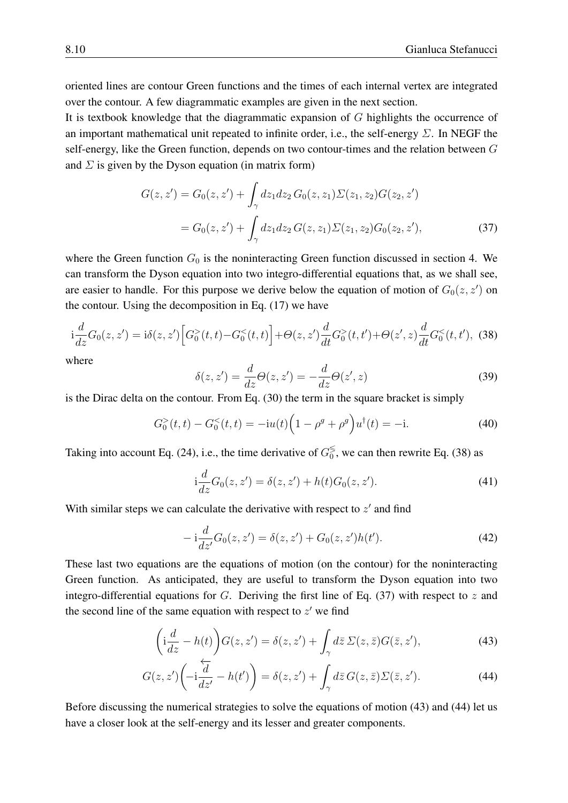oriented lines are contour Green functions and the times of each internal vertex are integrated over the contour. A few diagrammatic examples are given in the next section.

It is textbook knowledge that the diagrammatic expansion of G highlights the occurrence of an important mathematical unit repeated to infinite order, i.e., the self-energy  $\Sigma$ . In NEGF the self-energy, like the Green function, depends on two contour-times and the relation between G and  $\Sigma$  is given by the Dyson equation (in matrix form)

$$
G(z, z') = G_0(z, z') + \int_{\gamma} dz_1 dz_2 G_0(z, z_1) \Sigma(z_1, z_2) G(z_2, z')
$$
  
= 
$$
G_0(z, z') + \int_{\gamma} dz_1 dz_2 G(z, z_1) \Sigma(z_1, z_2) G_0(z_2, z'),
$$
 (37)

where the Green function  $G_0$  is the noninteracting Green function discussed in section [4.](#page-6-0) We can transform the Dyson equation into two integro-differential equations that, as we shall see, are easier to handle. For this purpose we derive below the equation of motion of  $G_0(z, z')$  on the contour. Using the decomposition in Eq. [\(17\)](#page-5-2) we have

<span id="page-9-0"></span>
$$
i\frac{d}{dz}G_0(z,z') = i\delta(z,z')\Big[G_0^{>(t,t)} - G_0^{((t,t')} + \Theta(z',z)\frac{d}{dt}G_0^{(
$$

where

<span id="page-9-1"></span>
$$
\delta(z, z') = \frac{d}{dz}\Theta(z, z') = -\frac{d}{dz}\Theta(z', z)
$$
\n(39)

is the Dirac delta on the contour. From Eq. [\(30\)](#page-7-0) the term in the square bracket is simply

$$
G_0^>(t,t) - G_0^<(t,t) = -i u(t) \left(1 - \rho^g + \rho^g\right) u^{\dagger}(t) = -i. \tag{40}
$$

Taking into account Eq. [\(24\)](#page-6-2), i.e., the time derivative of  $G_0^{\leq}$  $\frac{5}{0}$ , we can then rewrite Eq. [\(38\)](#page-9-0) as

<span id="page-9-4"></span>
$$
i\frac{d}{dz}G_0(z, z') = \delta(z, z') + h(t)G_0(z, z').
$$
\n(41)

With similar steps we can calculate the derivative with respect to  $z'$  and find

<span id="page-9-5"></span><span id="page-9-3"></span><span id="page-9-2"></span>
$$
-i\frac{d}{dz'}G_0(z, z') = \delta(z, z') + G_0(z, z')h(t').
$$
\n(42)

These last two equations are the equations of motion (on the contour) for the noninteracting Green function. As anticipated, they are useful to transform the Dyson equation into two integro-differential equations for G. Deriving the first line of Eq. [\(37\)](#page-9-1) with respect to z and the second line of the same equation with respect to  $z'$  we find

$$
\left(i\frac{d}{dz} - h(t)\right)G(z, z') = \delta(z, z') + \int_{\gamma} d\bar{z} \,\Sigma(z, \bar{z})G(\bar{z}, z'),\tag{43}
$$

$$
G(z, z')\left(-i\frac{\overleftarrow{d}}{dz'} - h(t')\right) = \delta(z, z') + \int_{\gamma} d\overline{z} \, G(z, \overline{z}) \Sigma(\overline{z}, z'). \tag{44}
$$

Before discussing the numerical strategies to solve the equations of motion [\(43\)](#page-9-2) and [\(44\)](#page-9-3) let us have a closer look at the self-energy and its lesser and greater components.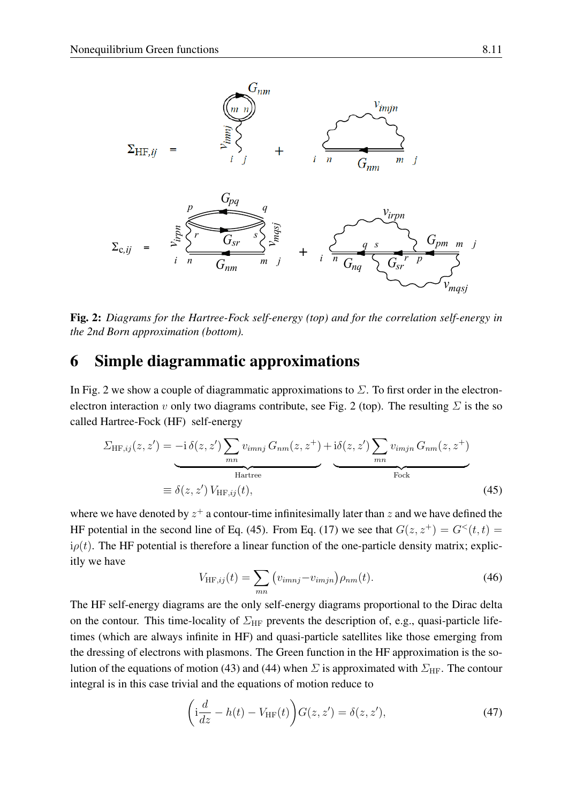

<span id="page-10-1"></span>Fig. 2: *Diagrams for the Hartree-Fock self-energy (top) and for the correlation self-energy in the 2nd Born approximation (bottom).*

## <span id="page-10-0"></span>6 Simple diagrammatic approximations

In Fig. [2](#page-10-1) we show a couple of diagrammatic approximations to  $\Sigma$ . To first order in the electron-electron interaction v only two diagrams contribute, see Fig. [2](#page-10-1) (top). The resulting  $\Sigma$  is the so called Hartree-Fock (HF) self-energy

$$
\Sigma_{\text{HF},ij}(z,z') = -i \delta(z,z') \sum_{mn} v_{imnj} G_{nm}(z,z^+) + i \delta(z,z') \sum_{mn} v_{imjn} G_{nm}(z,z^+)
$$
  
 
$$
= \delta(z,z') V_{\text{HF},ij}(t), \qquad (45)
$$

where we have denoted by  $z^+$  a contour-time infinitesimally later than  $z$  and we have defined the HF potential in the second line of Eq. [\(45\)](#page-10-2). From Eq. [\(17\)](#page-5-2) we see that  $G(z, z^+) = G<sup>lt</sup>(t, t)$  $i\rho(t)$ . The HF potential is therefore a linear function of the one-particle density matrix; explicitly we have

<span id="page-10-3"></span><span id="page-10-2"></span>
$$
V_{\text{HF},ij}(t) = \sum_{mn} \left( v_{imnj} - v_{imjn} \right) \rho_{nm}(t). \tag{46}
$$

The HF self-energy diagrams are the only self-energy diagrams proportional to the Dirac delta on the contour. This time-locality of  $\Sigma_{HF}$  prevents the description of, e.g., quasi-particle lifetimes (which are always infinite in HF) and quasi-particle satellites like those emerging from the dressing of electrons with plasmons. The Green function in the HF approximation is the so-lution of the equations of motion [\(43\)](#page-9-2) and [\(44\)](#page-9-3) when  $\Sigma$  is approximated with  $\Sigma_{\rm HF}$ . The contour integral is in this case trivial and the equations of motion reduce to

$$
\left(i\frac{d}{dz} - h(t) - V_{\text{HF}}(t)\right)G(z, z') = \delta(z, z'),\tag{47}
$$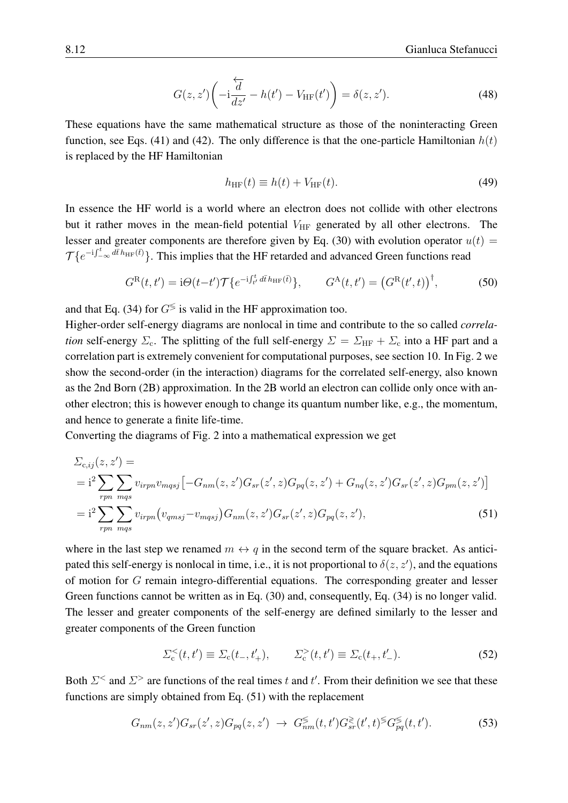$$
G(z, z')\left(-i\frac{\overleftarrow{d}}{dz'} - h(t') - V_{\text{HF}}(t')\right) = \delta(z, z').\tag{48}
$$

These equations have the same mathematical structure as those of the noninteracting Green function, see Eqs. [\(41\)](#page-9-4) and [\(42\)](#page-9-5). The only difference is that the one-particle Hamiltonian  $h(t)$ is replaced by the HF Hamiltonian

<span id="page-11-3"></span>
$$
h_{\text{HF}}(t) \equiv h(t) + V_{\text{HF}}(t). \tag{49}
$$

In essence the HF world is a world where an electron does not collide with other electrons but it rather moves in the mean-field potential  $V_{\text{HF}}$  generated by all other electrons. The lesser and greater components are therefore given by Eq. [\(30\)](#page-7-0) with evolution operator  $u(t)$  =  $\mathcal{T}\lbrace e^{-i\int_{-\infty}^t d\bar{t} h_{\text{HF}}(\bar{t})}\rbrace$ . This implies that the HF retarded and advanced Green functions read

<span id="page-11-2"></span>
$$
G^{\rm R}(t,t') = \mathrm{i}\Theta(t-t')\mathcal{T}\{e^{-\mathrm{i}\int_{t'}^{t}d\bar{t}\,h_{\rm HF}(\bar{t})}\}, \qquad G^{\rm A}(t,t') = \left(G^{\rm R}(t',t)\right)^{\dagger},\tag{50}
$$

and that Eq. [\(34\)](#page-8-3) for  $G^{\lessgtr}$  is valid in the HF approximation too.

Higher-order self-energy diagrams are nonlocal in time and contribute to the so called *correlation* self-energy  $\Sigma_c$ . The splitting of the full self-energy  $\Sigma = \Sigma_{HF} + \Sigma_c$  into a HF part and a correlation part is extremely convenient for computational purposes, see section [10.](#page-22-0) In Fig. [2](#page-10-1) we show the second-order (in the interaction) diagrams for the correlated self-energy, also known as the 2nd Born (2B) approximation. In the 2B world an electron can collide only once with another electron; this is however enough to change its quantum number like, e.g., the momentum, and hence to generate a finite life-time.

Converting the diagrams of Fig. [2](#page-10-1) into a mathematical expression we get

$$
\Sigma_{c,ij}(z, z') =
$$
\n
$$
= i^{2} \sum_{rpn} \sum_{mqs} v_{irpn} v_{mqsj} \left[ -G_{nm}(z, z') G_{sr}(z', z) G_{pq}(z, z') + G_{nq}(z, z') G_{sr}(z', z) G_{pm}(z, z') \right]
$$
\n
$$
= i^{2} \sum_{rpn} \sum_{mqs} v_{irpn} (v_{qmsj} - v_{mqsj}) G_{nm}(z, z') G_{sr}(z', z) G_{pq}(z, z'), \tag{51}
$$

where in the last step we renamed  $m \leftrightarrow q$  in the second term of the square bracket. As anticipated this self-energy is nonlocal in time, i.e., it is not proportional to  $\delta(z, z')$ , and the equations of motion for G remain integro-differential equations. The corresponding greater and lesser Green functions cannot be written as in Eq. [\(30\)](#page-7-0) and, consequently, Eq. [\(34\)](#page-8-3) is no longer valid. The lesser and greater components of the self-energy are defined similarly to the lesser and greater components of the Green function

<span id="page-11-1"></span><span id="page-11-0"></span>
$$
\Sigma_{\rm c}^{<}(t,t') \equiv \Sigma_{\rm c}(t_{-},t'_{+}), \qquad \Sigma_{\rm c}^{>}(t,t') \equiv \Sigma_{\rm c}(t_{+},t'_{-}). \tag{52}
$$

Both  $\Sigma^<$  and  $\Sigma^>$  are functions of the real times t and t'. From their definition we see that these functions are simply obtained from Eq. [\(51\)](#page-11-0) with the replacement

$$
G_{nm}(z, z')G_{sr}(z', z)G_{pq}(z, z') \to G_{nm}^{\le}(t, t')G_{sr}^{\ge}(t', t)^{\le}G_{pq}^{\le}(t, t').
$$
\n(53)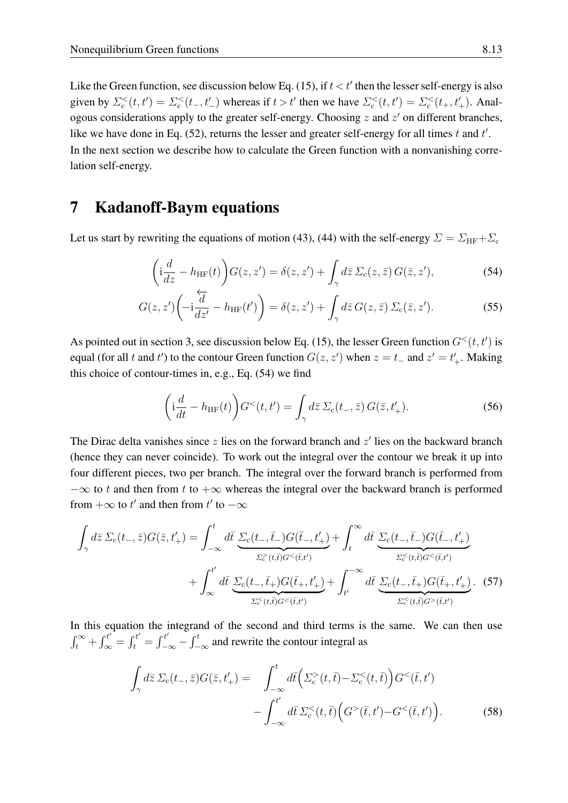Like the Green function, see discussion below Eq. [\(15\)](#page-5-3), if  $t < t'$  then the lesser self-energy is also given by  $\Sigma_c^<(t,t') = \Sigma_c^<(t_-,t'_-)$  whereas if  $t > t'$  then we have  $\Sigma_c^<(t,t') = \Sigma_c^<(t_+,t'_+)$ . Analogous considerations apply to the greater self-energy. Choosing  $z$  and  $z'$  on different branches, like we have done in Eq.  $(52)$ , returns the lesser and greater self-energy for all times t and t'. In the next section we describe how to calculate the Green function with a nonvanishing correlation self-energy.

## <span id="page-12-0"></span>7 Kadanoff-Baym equations

Let us start by rewriting the equations of motion [\(43\)](#page-9-2), [\(44\)](#page-9-3) with the self-energy  $\Sigma = \Sigma_{\rm HF} + \Sigma_{\rm c}$ 

<span id="page-12-1"></span>
$$
\left(i\frac{d}{dz} - h_{\text{HF}}(t)\right)G(z, z') = \delta(z, z') + \int_{\gamma} d\bar{z}\,\Sigma_{\text{c}}(z, \bar{z})\,G(\bar{z}, z'),\tag{54}
$$

$$
G(z, z')\left(-i\frac{\overleftarrow{d}}{dz'} - h_{\text{HF}}(t')\right) = \delta(z, z') + \int_{\gamma} d\bar{z} \, G(z, \bar{z}) \, \Sigma_{\text{c}}(\bar{z}, z'). \tag{55}
$$

As pointed out in section [3,](#page-5-0) see discussion below Eq. [\(15\)](#page-5-3), the lesser Green function  $G<sup>(t, t')</sup>$  is equal (for all t and t') to the contour Green function  $G(z, z')$  when  $z = t_-\,$  and  $z' = t'_+$ . Making this choice of contour-times in, e.g., Eq. [\(54\)](#page-12-1) we find

<span id="page-12-4"></span><span id="page-12-3"></span><span id="page-12-2"></span>
$$
\left(\mathbf{i}\frac{d}{dt} - h_{\text{HF}}(t)\right) G^{<}(t, t') = \int_{\gamma} d\bar{z} \,\Sigma_{\text{c}}(t_{-}, \bar{z})\, G(\bar{z}, t'_{+}).\tag{56}
$$

The Dirac delta vanishes since  $z$  lies on the forward branch and  $z'$  lies on the backward branch (hence they can never coincide). To work out the integral over the contour we break it up into four different pieces, two per branch. The integral over the forward branch is performed from  $-\infty$  to t and then from t to  $+\infty$  whereas the integral over the backward branch is performed from  $+\infty$  to  $t'$  and then from  $t'$  to  $-\infty$ 

$$
\int_{\gamma} d\bar{z} \Sigma_{c}(t_{-},\bar{z}) G(\bar{z},t'_{+}) = \int_{-\infty}^{t} d\bar{t} \underbrace{\Sigma_{c}(t_{-},\bar{t}_{-}) G(\bar{t}_{-},t'_{+})}_{\Sigma_{c}^{\geq}(t,\bar{t}) G^{<}(\bar{t},t')} + \int_{\infty}^{t'} d\bar{t} \underbrace{\Sigma_{c}(t_{-},\bar{t}_{+}) G(\bar{t}_{-},t'_{+})}_{\Sigma_{c}^{<}(t,\bar{t}) G^{<}(\bar{t},t')} + \int_{\infty}^{t'} d\bar{t} \underbrace{\Sigma_{c}(t_{-},\bar{t}_{+}) G(\bar{t}_{+},t'_{+})}_{\Sigma_{c}^{<}(t,\bar{t}) G^{<}(\bar{t},t')} + \int_{\Sigma_{c}^{<}(t,\bar{t}) G^{<}(\bar{t},t')}^{\infty} d\bar{t} \underbrace{\Sigma_{c}(t_{-},\bar{t}_{+}) G(\bar{t}_{+},t'_{+})}_{\Sigma_{c}^{<}(t,\bar{t}) G^{>}(\bar{t},t')}.
$$
\n(57)

In this equation the integrand of the second and third terms is the same. We can then use  $\int_t^{\infty} + \int_{\infty}^{t'} = \int_t^{t'} = \int_{-t}^{t'}$  $\frac{t'}{-\infty} - \int_{-\infty}^{t}$  and rewrite the contour integral as

$$
\int_{\gamma} d\bar{z} \, \Sigma_{\rm c}(t_{-}, \bar{z}) G(\bar{z}, t'_{+}) = \int_{-\infty}^{t} d\bar{t} \left( \Sigma_{\rm c}^{>}(t, \bar{t}) - \Sigma_{\rm c}^{<}(t, \bar{t}) \right) G^{<}(\bar{t}, t') - \int_{-\infty}^{t'} d\bar{t} \, \Sigma_{\rm c}^{<}(t, \bar{t}) \left( G^{>}(\bar{t}, t') - G^{<}(\bar{t}, t') \right). \tag{58}
$$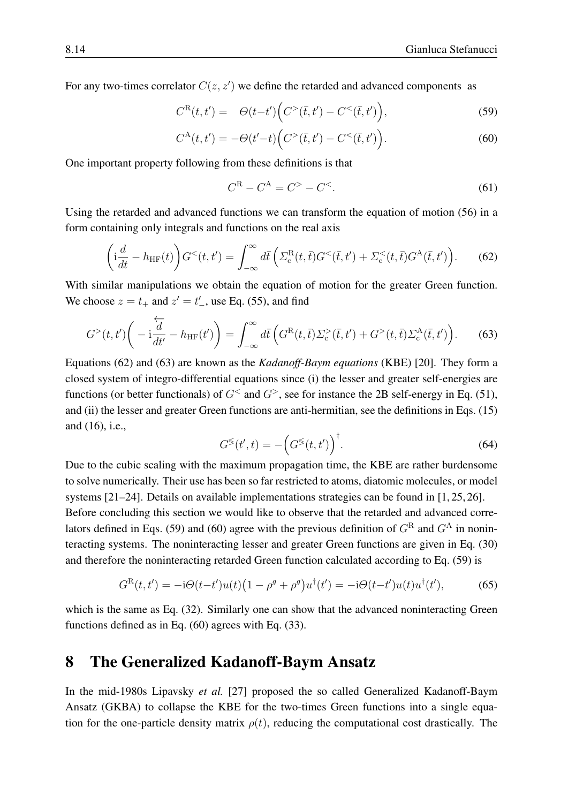For any two-times correlator  $C(z, z')$  we define the retarded and advanced components as

$$
C^{R}(t, t') = \Theta(t-t') \Big( C^{>}(\bar{t}, t') - C^{<}(\bar{t}, t') \Big), \tag{59}
$$

$$
C^{A}(t,t') = -\Theta(t'-t)\Big(C^{>}(\bar{t},t') - C^{<}(\bar{t},t')\Big). \tag{60}
$$

One important property following from these definitions is that

<span id="page-13-6"></span><span id="page-13-4"></span><span id="page-13-3"></span>
$$
C^{R} - C^{A} = C^{>} - C^{<}.
$$
\n(61)

Using the retarded and advanced functions we can transform the equation of motion [\(56\)](#page-12-2) in a form containing only integrals and functions on the real axis

<span id="page-13-1"></span>
$$
\left(\mathbf{i}\frac{d}{dt} - h_{\text{HF}}(t)\right)Glt(t, t') = \int_{-\infty}^{\infty} d\bar{t}\left(\Sigma_{\text{c}}^{\text{R}}(t, \bar{t})Glt(\bar{t}, t') + \Sigma_{\text{c}}lt(t, \bar{t})G^{\text{A}}(\bar{t}, t')\right).
$$
 (62)

With similar manipulations we obtain the equation of motion for the greater Green function. We choose  $z = t_+$  and  $z' = t'_-$ , use Eq. [\(55\)](#page-12-3), and find

<span id="page-13-2"></span>
$$
G^{>}(t,t')\bigg(-i\frac{\overleftarrow{d}}{dt'}-h_{\text{HF}}(t')\bigg)=\int_{-\infty}^{\infty}d\overline{t}\left(G^{\text{R}}(t,\overline{t})\Sigma_{\text{c}}^{>}(\overline{t},t')+G^{>}(t,\overline{t})\Sigma_{\text{c}}^{\text{A}}(\overline{t},t')\right).
$$
 (63)

Equations [\(62\)](#page-13-1) and [\(63\)](#page-13-2) are known as the *Kadanoff-Baym equations* (KBE) [\[20\]](#page-25-14). They form a closed system of integro-differential equations since (i) the lesser and greater self-energies are functions (or better functionals) of  $G^<$  and  $G^>$ , see for instance the 2B self-energy in Eq. [\(51\)](#page-11-0), and (ii) the lesser and greater Green functions are anti-hermitian, see the definitions in Eqs. [\(15\)](#page-5-3) and [\(16\)](#page-5-4), i.e.,

<span id="page-13-5"></span>
$$
G^{\lessgtr}(t',t) = -\left(G^{\lessgtr}(t,t')\right)^{\dagger}.
$$
\n(64)

Due to the cubic scaling with the maximum propagation time, the KBE are rather burdensome to solve numerically. Their use has been so far restricted to atoms, diatomic molecules, or model systems [\[21](#page-25-15)[–24\]](#page-26-0). Details on available implementations strategies can be found in [\[1,](#page-25-0) [25,](#page-26-1) [26\]](#page-26-2). Before concluding this section we would like to observe that the retarded and advanced corre-lators defined in Eqs. [\(59\)](#page-13-3) and [\(60\)](#page-13-4) agree with the previous definition of  $G<sup>R</sup>$  and  $G<sup>A</sup>$  in noninteracting systems. The noninteracting lesser and greater Green functions are given in Eq. [\(30\)](#page-7-0) and therefore the noninteracting retarded Green function calculated according to Eq. [\(59\)](#page-13-3) is

$$
G^{R}(t, t') = -i\Theta(t - t')u(t)\left(1 - \rho^{g} + \rho^{g}\right)u^{\dagger}(t') = -i\Theta(t - t')u(t)u^{\dagger}(t'),\tag{65}
$$

which is the same as Eq. [\(32\)](#page-7-2). Similarly one can show that the advanced noninteracting Green functions defined as in Eq. [\(60\)](#page-13-4) agrees with Eq. [\(33\)](#page-7-3).

#### <span id="page-13-0"></span>8 The Generalized Kadanoff-Baym Ansatz

In the mid-1980s Lipavsky *et al.* [\[27\]](#page-26-3) proposed the so called Generalized Kadanoff-Baym Ansatz (GKBA) to collapse the KBE for the two-times Green functions into a single equation for the one-particle density matrix  $\rho(t)$ , reducing the computational cost drastically. The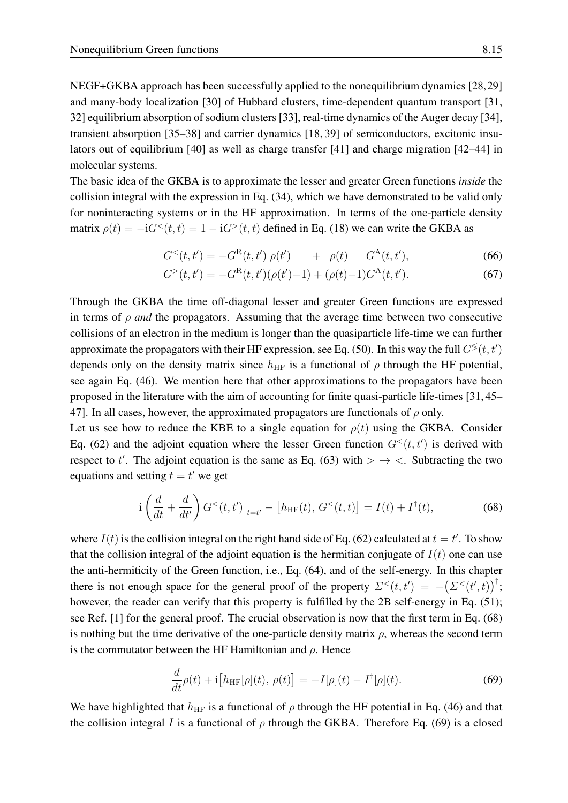NEGF+GKBA approach has been successfully applied to the nonequilibrium dynamics [\[28,](#page-26-4)[29\]](#page-26-5) and many-body localization [\[30\]](#page-26-6) of Hubbard clusters, time-dependent quantum transport [\[31,](#page-26-7) [32\]](#page-26-8) equilibrium absorption of sodium clusters [\[33\]](#page-26-9), real-time dynamics of the Auger decay [\[34\]](#page-26-10), transient absorption [\[35–](#page-26-11)[38\]](#page-26-12) and carrier dynamics [\[18,](#page-25-12) [39\]](#page-26-13) of semiconductors, excitonic insulators out of equilibrium [\[40\]](#page-26-14) as well as charge transfer [\[41\]](#page-26-15) and charge migration [\[42](#page-26-16)[–44\]](#page-27-0) in molecular systems.

The basic idea of the GKBA is to approximate the lesser and greater Green functions *inside* the collision integral with the expression in Eq. [\(34\)](#page-8-3), which we have demonstrated to be valid only for noninteracting systems or in the HF approximation. In terms of the one-particle density matrix  $\rho(t) = -iG^<(t, t) = 1 - iG^>(t, t)$  defined in Eq. [\(18\)](#page-5-5) we can write the GKBA as

$$
G^{<}(t,t') = -G^{R}(t,t') \rho(t') + \rho(t) \qquad G^{A}(t,t'), \tag{66}
$$

$$
G^{>}(t,t') = -G^{R}(t,t')(\rho(t')-1) + (\rho(t)-1)G^{A}(t,t').
$$
\n(67)

Through the GKBA the time off-diagonal lesser and greater Green functions are expressed in terms of  $\rho$  *and* the propagators. Assuming that the average time between two consecutive collisions of an electron in the medium is longer than the quasiparticle life-time we can further approximate the propagators with their HF expression, see Eq. [\(50\)](#page-11-2). In this way the full  $G^{\lessgtr}(t, t')$ depends only on the density matrix since  $h_{HF}$  is a functional of  $\rho$  through the HF potential, see again Eq. [\(46\)](#page-10-3). We mention here that other approximations to the propagators have been proposed in the literature with the aim of accounting for finite quasi-particle life-times [\[31,](#page-26-7) [45–](#page-27-1) [47\]](#page-27-2). In all cases, however, the approximated propagators are functionals of  $\rho$  only.

Let us see how to reduce the KBE to a single equation for  $\rho(t)$  using the GKBA. Consider Eq. [\(62\)](#page-13-1) and the adjoint equation where the lesser Green function  $G<sup>{</sup>(t, t')$  is derived with respect to t'. The adjoint equation is the same as Eq. [\(63\)](#page-13-2) with  $> \rightarrow <$ . Subtracting the two equations and setting  $t = t'$  we get

<span id="page-14-0"></span>
$$
i\left(\frac{d}{dt} + \frac{d}{dt'}\right)G^{<}(t, t')\big|_{t=t'} - [h_{HF}(t), G^{<}(t, t)] = I(t) + I^{\dagger}(t),
$$
\n(68)

where  $I(t)$  is the collision integral on the right hand side of Eq. [\(62\)](#page-13-1) calculated at  $t = t'$ . To show that the collision integral of the adjoint equation is the hermitian conjugate of  $I(t)$  one can use the anti-hermiticity of the Green function, i.e., Eq. [\(64\)](#page-13-5), and of the self-energy. In this chapter there is not enough space for the general proof of the property  $\Sigma^<(t,t') = -(\Sigma^<(t',t))^\dagger;$ however, the reader can verify that this property is fulfilled by the 2B self-energy in Eq. [\(51\)](#page-11-0); see Ref. [\[1\]](#page-25-0) for the general proof. The crucial observation is now that the first term in Eq. [\(68\)](#page-14-0) is nothing but the time derivative of the one-particle density matrix  $\rho$ , whereas the second term is the commutator between the HF Hamiltonian and  $\rho$ . Hence

<span id="page-14-1"></span>
$$
\frac{d}{dt}\rho(t) + i[h_{HF}[\rho](t), \rho(t)] = -I[\rho](t) - I^{\dagger}[\rho](t).
$$
\n(69)

We have highlighted that  $h_{HF}$  is a functional of  $\rho$  through the HF potential in Eq. [\(46\)](#page-10-3) and that the collision integral I is a functional of  $\rho$  through the GKBA. Therefore Eq. [\(69\)](#page-14-1) is a closed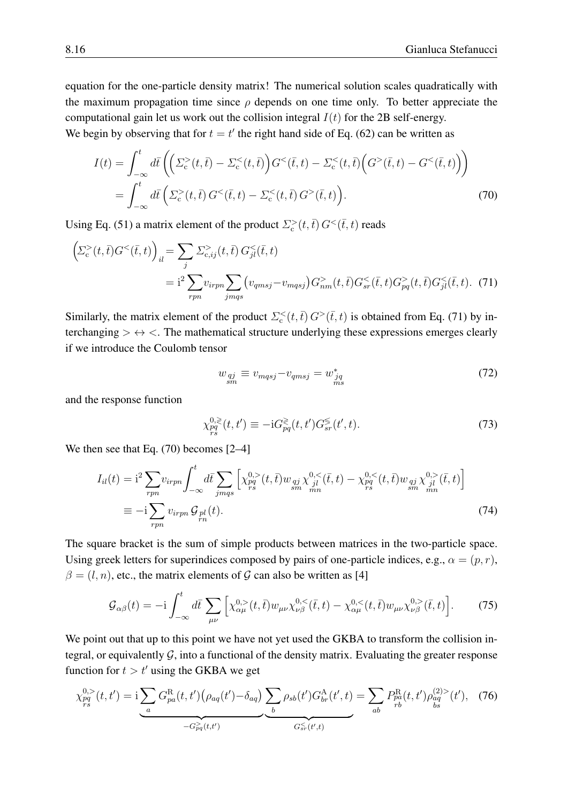equation for the one-particle density matrix! The numerical solution scales quadratically with the maximum propagation time since  $\rho$  depends on one time only. To better appreciate the computational gain let us work out the collision integral  $I(t)$  for the 2B self-energy.

We begin by observing that for  $t = t'$  the right hand side of Eq. [\(62\)](#page-13-1) can be written as

$$
I(t) = \int_{-\infty}^{t} d\bar{t} \left( \left( \Sigma_{c}^{>}(t,\bar{t}) - \Sigma_{c}^{<}(t,\bar{t}) \right) G^{<}(\bar{t},t) - \Sigma_{c}^{<}(t,\bar{t}) \left( G^{>}(\bar{t},t) - G^{<}(\bar{t},t) \right) \right)
$$
  
= 
$$
\int_{-\infty}^{t} d\bar{t} \left( \Sigma_{c}^{>}(t,\bar{t}) G^{<}(\bar{t},t) - \Sigma_{c}^{<}(t,\bar{t}) G^{>}(\bar{t},t) \right).
$$
 (70)

Using Eq. [\(51\)](#page-11-0) a matrix element of the product  $\sum_{c}^{>}(t,\bar{t}) G^{<}(\bar{t},t)$  reads

$$
\left(\sum_{c}^{S}(t,\bar{t})G^{<}(\bar{t},t)\right)_{il} = \sum_{j} \sum_{c,ij}^{S}(t,\bar{t}) G^{<}_{jl}(\bar{t},t)
$$
  
=  $i^{2} \sum_{rpn} v_{irpn} \sum_{jmqs} (v_{qmsj} - v_{mqsj}) G^{>}_{nm}(t,\bar{t}) G^{<}_{sr}(\bar{t},t) G^{>}_{pq}(t,\bar{t}) G^{<}_{jl}(\bar{t},t)$ . (71)

Similarly, the matrix element of the product  $\Sigma_c^<(t,\bar{t}) G^>(\bar{t},t)$  is obtained from Eq. [\(71\)](#page-15-0) by interchanging  $> \leftrightarrow \, <$ . The mathematical structure underlying these expressions emerges clearly if we introduce the Coulomb tensor

<span id="page-15-3"></span><span id="page-15-1"></span><span id="page-15-0"></span>
$$
w_{qj}_{sm} \equiv v_{mqsj} - v_{qmsj} = w_{jq}^* \tag{72}
$$

and the response function

<span id="page-15-5"></span><span id="page-15-4"></span>
$$
\chi_{pq}^{0,\geq}(t,t') \equiv -iG_{pq}^{\geq}(t,t')G_{sr}^{\leq}(t',t). \tag{73}
$$

We then see that Eq. [\(70\)](#page-15-1) becomes [\[2–](#page-25-1)[4\]](#page-25-16)

$$
I_{il}(t) = i^{2} \sum_{rpn} v_{irpn} \int_{-\infty}^{t} d\bar{t} \sum_{jmqs} \left[ \chi_{pq}^{0,>} (t, \bar{t}) w_{qj} \chi_{jl}^{0,<} (\bar{t}, t) - \chi_{pq}^{0,<} (t, \bar{t}) w_{qj} \chi_{jl}^{0,>} (\bar{t}, t) \right]
$$
  

$$
\equiv -i \sum_{rpn} v_{irpn} \mathcal{G}_{pl}(t).
$$
 (74)

The square bracket is the sum of simple products between matrices in the two-particle space. Using greek letters for superindices composed by pairs of one-particle indices, e.g.,  $\alpha = (p, r)$ ,  $\beta = (l, n)$ , etc., the matrix elements of G can also be written as [\[4\]](#page-25-16)

<span id="page-15-2"></span>
$$
\mathcal{G}_{\alpha\beta}(t) = -i \int_{-\infty}^{t} d\bar{t} \sum_{\mu\nu} \left[ \chi_{\alpha\mu}^{0,>}(t,\bar{t}) w_{\mu\nu} \chi_{\nu\beta}^{0,<}(\bar{t},t) - \chi_{\alpha\mu}^{0,<}(t,\bar{t}) w_{\mu\nu} \chi_{\nu\beta}^{0,>}(\bar{t},t) \right].
$$
 (75)

We point out that up to this point we have not yet used the GKBA to transform the collision integral, or equivalently  $G$ , into a functional of the density matrix. Evaluating the greater response function for  $t > t'$  using the GKBA we get

$$
\chi_{pq}^{0,>}(t,t') = i \underbrace{\sum_{a} G_{pa}^{\text{R}}(t,t') \big(\rho_{aq}(t') - \delta_{aq}\big)}_{-G_{pq}^>(t,t')} \underbrace{\sum_{b} \rho_{sb}(t') G_{br}^{\text{A}}(t',t)}_{G_{sr}^<(t',t)} = \sum_{ab} P_{pa}^{\text{R}}(t,t') \rho_{ag}^{(2)>}(t'), \quad (76)
$$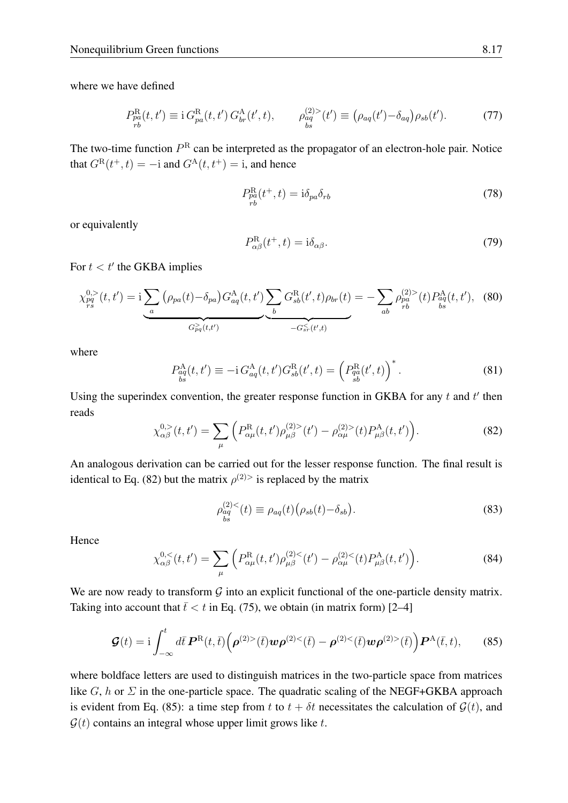where we have defined

$$
P_{pa}^{\rm R}(t, t') \equiv \mathrm{i} \, G_{pa}^{\rm R}(t, t') \, G_{br}^{\rm A}(t', t), \qquad \rho_{aq}^{(2) >}(t') \equiv \left(\rho_{aq}(t') - \delta_{aq}\right) \rho_{sb}(t'). \tag{77}
$$

The two-time function  $P^R$  can be interpreted as the propagator of an electron-hole pair. Notice that  $G^{\rm R}(t^+, t) = -i$  and  $G^{\rm A}(t, t^+) = i$ , and hence

$$
P_{pa}^{\mathrm{R}}(t^+,t) = \mathrm{i}\delta_{pa}\delta_{rb} \tag{78}
$$

or equivalently

$$
P_{\alpha\beta}^{\rm R}(t^+,t) = i\delta_{\alpha\beta}.\tag{79}
$$

For  $t < t'$  the GKBA implies

$$
\chi_{pq}^{0,>}(t,t') = i \underbrace{\sum_{a} (\rho_{pa}(t) - \delta_{pa}) G_{aq}^{A}(t,t')}_{G_{pq}^{>}(t,t')} \underbrace{\sum_{b} G_{sb}^{R}(t',t) \rho_{br}(t)}_{-G_{sr}^{<}(t',t)} = - \sum_{ab} \rho_{pa}^{(2)>} (t) P_{ag}^{A}(t,t'), \quad (80)
$$

where

<span id="page-16-2"></span>
$$
P_{aq}^{\mathcal{A}}(t, t') \equiv -i \, G_{aq}^{\mathcal{A}}(t, t') G_{sb}^{\mathcal{R}}(t', t) = \left( P_{qa}^{\mathcal{R}}(t', t) \right)^{*}.
$$
 (81)

Using the superindex convention, the greater response function in GKBA for any  $t$  and  $t'$  then reads

<span id="page-16-0"></span>
$$
\chi_{\alpha\beta}^{0,>}(t,t') = \sum_{\mu} \left( P_{\alpha\mu}^{\rm R}(t,t') \rho_{\mu\beta}^{(2)>}(t') - \rho_{\alpha\mu}^{(2)>}(t) P_{\mu\beta}^{\rm A}(t,t') \right). \tag{82}
$$

An analogous derivation can be carried out for the lesser response function. The final result is identical to Eq. [\(82\)](#page-16-0) but the matrix  $\rho^{(2)}$  is replaced by the matrix

$$
\rho_{\stackrel{a}{\stackrel{b}{\stackrel{a}{\stackrel{d}{\stackrel{b}{\stackrel{d}{\stackrel{d}{\stackrel{d}{\stackrel{d}{\stackrel{d}{\stackrel{d}{\stackrel{d}{\stackrel{d}{\stackrel{d}{\stackrel{d}{\stackrel{d}{\stackrel{d}{\stackrel{d}{\stackrel{d}{\stackrel{d}{\stackrel{d}{\stackrel{d}{\stackrel{d}{\stackrel{d}{\stackrel{d}{\stackrel{d}{\stackrel{d}{\stackrel{d}{\stackrel{d}{\stackrel{d}{\stackrel{d}{\stackrel{d}{\stackrel{d}{\stackrel{d}{\stackrel{d}{\stackrel{d}{\stackrel{d}{\stackrel{d}{\stackrel{d}{\stackrel{d}{\stackrel{d}{\stackrel{d}{\stackrel{d}{\stackrel{d}{\stackrel{d}{\stackrel{d}{\stackrel{d}{\stackrel{d}{\stackrel{d}{\stackrel{d}{\stackrel{d}{\stackrel{d}{\stackrel{d}{\stackrel{d}{\stackrel{d}{\stackrel{d}{\stackrel{d}{\stackrel{d}{\stackrel{d}{\stackrel{d}{\stackrel{d}{\stackrel{d}{\stackrel{d}{\stackrel{d}{\stackrel{d}{\stackrel{d}{\stackrel{d}{\stackrel{d}{\stackrel{d}{\stackrel{d}{\stackrel{d}{\stackrel{d}{\stackrel{d}{\stackrel{d}{\stackrel{d}{\stackrel{d}{\stackrel{d}{\stackrel{d}{\stackrel{d}{\stackrel{d}{\stackrel{d}{\stackrel{d}{\stackrel{d}{\stackrel{d}{\stackrel{d}{\stackrel{d}{\stackrel{d}{\stackrel{d}{\stackrel{d}{\stackrel{d}{\stackrel{d}{\stackrel{d}{\stackrel{d}{\stackrel{d}{\stackrel{d}{\stackrel{d}{\stackrel{d}{\stackrel{d}{\stackrel{d}{\stackrel{d}{\stackrel{d}{\stackrel{d}{\stackrel{d}{\stackrel{d}{\stackrel{d}{\stackrel{d}{\stackrel{d}{\stackrel{d}{\stackrel{d}{\stackrel{d}{\stackrel{d}{\stackrel{d}{\stackrel{d}{\stackrel{d}{\stackrel{d}{\stackrel{d}{\stackrel{d}{\stackrel{d}{\stackrel{d}{\stackrel{d}{\stackrel{d}{\stackrel{d}{\stackrel{d}{\stackrel{d}{\stackrel{d}{\stackrel{d}{\
$$

Hence

<span id="page-16-3"></span>
$$
\chi_{\alpha\beta}^{0,<}(t,t') = \sum_{\mu} \left( P_{\alpha\mu}^{\rm R}(t,t') \rho_{\mu\beta}^{(2)<}(t') - \rho_{\alpha\mu}^{(2)<}(t) P_{\mu\beta}^{\rm A}(t,t') \right). \tag{84}
$$

We are now ready to transform  $G$  into an explicit functional of the one-particle density matrix. Taking into account that  $\bar{t} < t$  in Eq. [\(75\)](#page-15-2), we obtain (in matrix form) [\[2](#page-25-1)[–4\]](#page-25-16)

<span id="page-16-1"></span>
$$
\mathcal{G}(t) = \mathrm{i} \int_{-\infty}^{t} d\bar{t} \, \mathbf{P}^{\mathrm{R}}(t,\bar{t}) \Big( \rho^{(2)>}(\bar{t}) \mathbf{w} \rho^{(2)>}(\bar{t}) - \rho^{(2)}<(\bar{t}) \mathbf{w} \rho^{(2)>}(\bar{t}) \Big) \mathbf{P}^{\mathrm{A}}(\bar{t},t), \qquad (85)
$$

where boldface letters are used to distinguish matrices in the two-particle space from matrices like  $G$ , h or  $\Sigma$  in the one-particle space. The quadratic scaling of the NEGF+GKBA approach is evident from Eq. [\(85\)](#page-16-1): a time step from t to  $t + \delta t$  necessitates the calculation of  $\mathcal{G}(t)$ , and  $\mathcal{G}(t)$  contains an integral whose upper limit grows like t.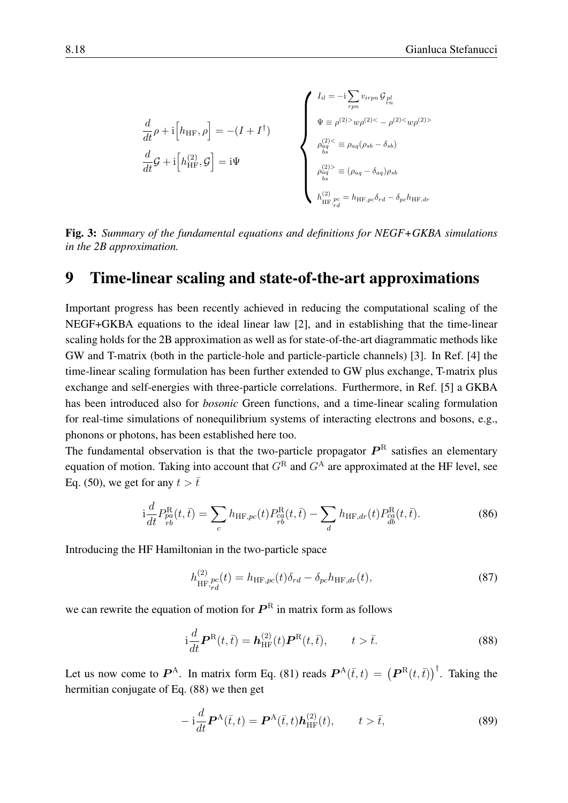$$
\frac{d}{dt}\rho + i\left[h_{HF}, \rho\right] = -(I + I^{\dagger})
$$
\n
$$
\frac{d}{dt}\mathcal{G} + i\left[h_{HF}, \mathcal{G}\right] = i\Psi
$$
\n
$$
\frac{d}{dt}\mathcal{G} + i\left[h_{HF}^{(2)}, \mathcal{G}\right] = i\Psi
$$
\n
$$
\begin{cases}\nI_{il} = -i\sum_{rpn} v_{irpn} \mathcal{G}_{pl} \\
\psi \equiv \rho^{(2) >} w\rho^{(2) <} - \rho^{(2) <} w\rho^{(2) >} \\
\varphi_{aq}^{(2) <} \equiv \rho_{aq}(\rho_{sb} - \delta_{sb}) \\
\rho_{aq}^{(2) >} \equiv (\rho_{aq} - \delta_{aq})\rho_{sb} \\
h_{HF,rd}^{(2)} = h_{HF,pc}\delta_{rd} - \delta_{pc}h_{HF,dr}\n\end{cases}
$$

<span id="page-17-2"></span>Fig. 3: *Summary of the fundamental equations and definitions for NEGF+GKBA simulations in the 2B approximation.*

#### <span id="page-17-0"></span>9 Time-linear scaling and state-of-the-art approximations

Important progress has been recently achieved in reducing the computational scaling of the NEGF+GKBA equations to the ideal linear law [\[2\]](#page-25-1), and in establishing that the time-linear scaling holds for the 2B approximation as well as for state-of-the-art diagrammatic methods like GW and T-matrix (both in the particle-hole and particle-particle channels) [\[3\]](#page-25-17). In Ref. [\[4\]](#page-25-16) the time-linear scaling formulation has been further extended to GW plus exchange, T-matrix plus exchange and self-energies with three-particle correlations. Furthermore, in Ref. [\[5\]](#page-25-18) a GKBA has been introduced also for *bosonic* Green functions, and a time-linear scaling formulation for real-time simulations of nonequilibrium systems of interacting electrons and bosons, e.g., phonons or photons, has been established here too.

The fundamental observation is that the two-particle propagator  $P^R$  satisfies an elementary equation of motion. Taking into account that  $G<sup>R</sup>$  and  $G<sup>A</sup>$  are approximated at the HF level, see Eq. [\(50\)](#page-11-2), we get for any  $t > \bar{t}$ 

$$
i\frac{d}{dt}P_{p\dot{a}}^{R}(t,\bar{t}) = \sum_{c} h_{HF,pc}(t)P_{rb}^{R}(t,\bar{t}) - \sum_{d} h_{HF,dr}(t)P_{db}^{R}(t,\bar{t}).
$$
\n(86)

Introducing the HF Hamiltonian in the two-particle space

$$
h_{\text{HF},pc}^{(2)}(t) = h_{\text{HF},pc}(t)\delta_{rd} - \delta_{pc}h_{\text{HF},dr}(t),\tag{87}
$$

we can rewrite the equation of motion for  $\boldsymbol{P}^{\text{R}}$  in matrix form as follows

<span id="page-17-1"></span>
$$
i\frac{d}{dt}\boldsymbol{P}^{\mathrm{R}}(t,\bar{t}) = \boldsymbol{h}_{\mathrm{HF}}^{(2)}(t)\boldsymbol{P}^{\mathrm{R}}(t,\bar{t}), \qquad t > \bar{t}.
$$

Let us now come to  $\boldsymbol{P}^{\text{A}}$ . In matrix form Eq. [\(81\)](#page-16-2) reads  $\boldsymbol{P}^{\text{A}}(\bar{t},t) = (\boldsymbol{P}^{\text{R}}(t,\bar{t}))^{\dagger}$ . Taking the hermitian conjugate of Eq. [\(88\)](#page-17-1) we then get

$$
-i\frac{d}{dt}\boldsymbol{P}^{\mathbf{A}}(\bar{t},t)=\boldsymbol{P}^{\mathbf{A}}(\bar{t},t)\boldsymbol{h}_{\mathrm{HF}}^{(2)}(t),\qquad t>\bar{t},\tag{89}
$$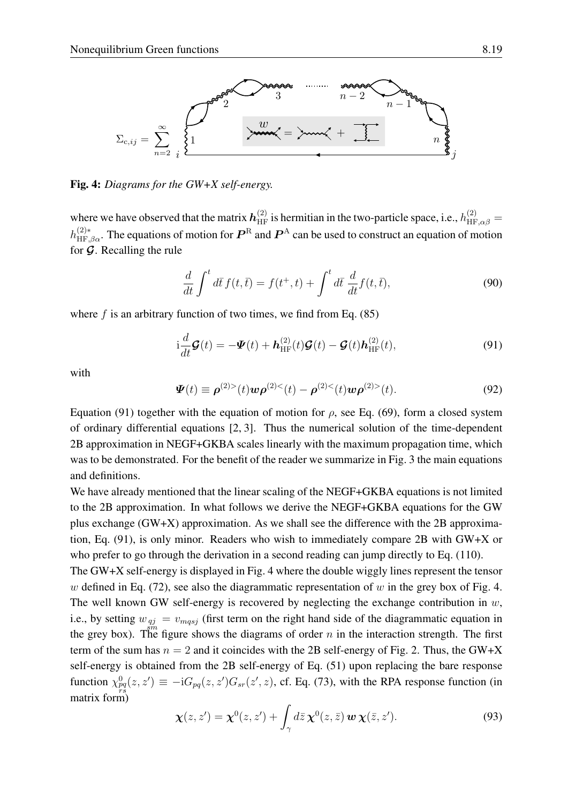

<span id="page-18-1"></span>Fig. 4: *Diagrams for the GW+X self-energy.*

where we have observed that the matrix  $h_{HF}^{(2)}$  is hermitian in the two-particle space, i.e.,  $h_{HF,\alpha\beta}^{(2)}=$  $h_{\text{HF},\beta\alpha}^{(2)*}$ . The equations of motion for  $\bm{P}^{\text{R}}$  and  $\bm{P}^{\text{A}}$  can be used to construct an equation of motion for  $\mathcal G$ . Recalling the rule

<span id="page-18-4"></span>
$$
\frac{d}{dt}\int^t d\bar{t} f(t,\bar{t}) = f(t^+,t) + \int^t d\bar{t} \frac{d}{dt} f(t,\bar{t}),\tag{90}
$$

where  $f$  is an arbitrary function of two times, we find from Eq. [\(85\)](#page-16-1)

<span id="page-18-0"></span>
$$
\mathrm{i}\frac{d}{dt}\mathcal{G}(t) = -\mathcal{I}(t) + \mathcal{h}_{\mathrm{HF}}^{(2)}(t)\mathcal{G}(t) - \mathcal{G}(t)\mathcal{h}_{\mathrm{HF}}^{(2)}(t),\tag{91}
$$

with

<span id="page-18-3"></span>
$$
\Psi(t) \equiv \rho^{(2)>}(t) w \rho^{(2)<}(t) - \rho^{(2)<}(t) w \rho^{(2)>}(t).
$$
\n(92)

Equation [\(91\)](#page-18-0) together with the equation of motion for  $\rho$ , see Eq. [\(69\)](#page-14-1), form a closed system of ordinary differential equations [\[2,](#page-25-1) [3\]](#page-25-17). Thus the numerical solution of the time-dependent 2B approximation in NEGF+GKBA scales linearly with the maximum propagation time, which was to be demonstrated. For the benefit of the reader we summarize in Fig. [3](#page-17-2) the main equations and definitions.

We have already mentioned that the linear scaling of the NEGF+GKBA equations is not limited to the 2B approximation. In what follows we derive the NEGF+GKBA equations for the GW plus exchange (GW+X) approximation. As we shall see the difference with the 2B approximation, Eq. [\(91\)](#page-18-0), is only minor. Readers who wish to immediately compare 2B with GW+X or who prefer to go through the derivation in a second reading can jump directly to Eq. [\(110\)](#page-21-0).

The GW+X self-energy is displayed in Fig. [4](#page-18-1) where the double wiggly lines represent the tensor w defined in Eq. [\(72\)](#page-15-3), see also the diagrammatic representation of w in the grey box of Fig. [4.](#page-18-1) The well known GW self-energy is recovered by neglecting the exchange contribution in  $w$ , i.e., by setting  $w_{qj} = v_{mqsj}$  (first term on the right hand side of the diagrammatic equation in the grey box). The figure shows the diagrams of order n in the interaction strength. The first term of the sum has  $n = 2$  and it coincides with the 2B self-energy of Fig. [2.](#page-10-1) Thus, the GW+X self-energy is obtained from the 2B self-energy of Eq. [\(51\)](#page-11-0) upon replacing the bare response function  $\chi_{pq}^0(z, z') \equiv -iG_{pq}(z, z')G_{sr}(z', z)$ , cf. Eq. [\(73\)](#page-15-4), with the RPA response function (in matrix form)

<span id="page-18-2"></span>
$$
\boldsymbol{\chi}(z,z') = \boldsymbol{\chi}^0(z,z') + \int_{\gamma} d\bar{z} \, \boldsymbol{\chi}^0(z,\bar{z}) \, \boldsymbol{w} \, \boldsymbol{\chi}(\bar{z},z'). \tag{93}
$$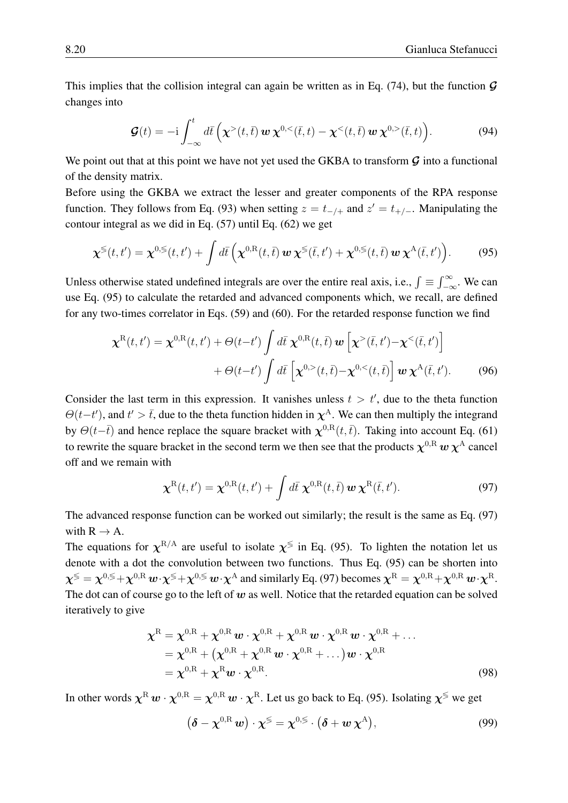This implies that the collision integral can again be written as in Eq. [\(74\)](#page-15-5), but the function  $\mathcal G$ changes into

<span id="page-19-4"></span>
$$
\mathcal{G}(t) = -\mathrm{i} \int_{-\infty}^{t} d\bar{t} \left( \chi^{>}(t,\bar{t}) \, \boldsymbol{w} \, \chi^{0,<}(\bar{t},t) - \chi^{<}(t,\bar{t}) \, \boldsymbol{w} \, \chi^{0,<}(\bar{t},t) \right). \tag{94}
$$

We point out that at this point we have not yet used the GKBA to transform  $\mathcal G$  into a functional of the density matrix.

Before using the GKBA we extract the lesser and greater components of the RPA response function. They follows from Eq. [\(93\)](#page-18-2) when setting  $z = t_{-/-}$  and  $z' = t_{+/-}$ . Manipulating the contour integral as we did in Eq. [\(57\)](#page-12-4) until Eq. [\(62\)](#page-13-1) we get

<span id="page-19-0"></span>
$$
\boldsymbol{\chi}^{\lessgtr}(t,t') = \boldsymbol{\chi}^{0,\lessgtr}(t,t') + \int d\bar{t} \left( \boldsymbol{\chi}^{0,\mathrm{R}}(t,\bar{t}) \, \boldsymbol{w} \, \boldsymbol{\chi}^{\lessgtr}(\bar{t},t') + \boldsymbol{\chi}^{0,\lessgtr}(t,\bar{t}) \, \boldsymbol{w} \, \boldsymbol{\chi}^{\mathrm{A}}(\bar{t},t') \right). \tag{95}
$$

Unless otherwise stated undefined integrals are over the entire real axis, i.e.,  $\int \equiv \int_{-\infty}^{\infty}$ . We can use Eq. [\(95\)](#page-19-0) to calculate the retarded and advanced components which, we recall, are defined for any two-times correlator in Eqs. [\(59\)](#page-13-3) and [\(60\)](#page-13-4). For the retarded response function we find

$$
\chi^{\mathcal{R}}(t,t') = \chi^{0,\mathcal{R}}(t,t') + \Theta(t-t') \int d\bar{t} \; \chi^{0,\mathcal{R}}(t,\bar{t}) \, \mathbf{w} \left[ \chi^{>}(\bar{t},t') - \chi^{<}(\bar{t},t') \right] + \Theta(t-t') \int d\bar{t} \left[ \chi^{0,>}(t,\bar{t}) - \chi^{0,<}(t,\bar{t}) \right] \mathbf{w} \; \chi^{\mathcal{A}}(\bar{t},t').
$$
 (96)

Consider the last term in this expression. It vanishes unless  $t > t'$ , due to the theta function  $\Theta(t-t')$ , and  $t' > \bar{t}$ , due to the theta function hidden in  $\chi^A$ . We can then multiply the integrand by  $\Theta(t-\bar{t})$  and hence replace the square bracket with  $\chi^{0,R}(t,\bar{t})$ . Taking into account Eq. [\(61\)](#page-13-6) to rewrite the square bracket in the second term we then see that the products  $\chi^{0,{\rm R}}\,w\,\chi^{\rm A}$  cancel off and we remain with

<span id="page-19-1"></span>
$$
\boldsymbol{\chi}^{\text{R}}(t,t') = \boldsymbol{\chi}^{0,\text{R}}(t,t') + \int d\bar{t} \; \boldsymbol{\chi}^{0,\text{R}}(t,\bar{t}) \; \boldsymbol{w} \; \boldsymbol{\chi}^{\text{R}}(\bar{t},t'). \tag{97}
$$

The advanced response function can be worked out similarly; the result is the same as Eq. [\(97\)](#page-19-1) with  $R \rightarrow A$ .

The equations for  $\chi^{R/A}$  are useful to isolate  $\chi^{\lessgtr}$  in Eq. [\(95\)](#page-19-0). To lighten the notation let us denote with a dot the convolution between two functions. Thus Eq. [\(95\)](#page-19-0) can be shorten into  $\chi^{\lessgtr} = \chi^{0,\lessgtr} + \chi^{0,\mathrm{R}} w \cdot \chi^{\lessgtr} + \chi^{0,\lessgtr} w \cdot \chi^{\mathrm{A}}$  and similarly Eq. [\(97\)](#page-19-1) becomes  $\chi^{\mathrm{R}} = \chi^{0,\mathrm{R}} + \chi^{0,\mathrm{R}} w \cdot \chi^{\mathrm{R}}$ . The dot can of course go to the left of  $w$  as well. Notice that the retarded equation can be solved iteratively to give

$$
\chi^{\mathcal{R}} = \chi^{0,\mathcal{R}} + \chi^{0,\mathcal{R}} \boldsymbol{w} \cdot \chi^{0,\mathcal{R}} + \chi^{0,\mathcal{R}} \boldsymbol{w} \cdot \chi^{0,\mathcal{R}} \boldsymbol{w} \cdot \chi^{0,\mathcal{R}} + \dots
$$
  
\n
$$
= \chi^{0,\mathcal{R}} + (\chi^{0,\mathcal{R}} + \chi^{0,\mathcal{R}} \boldsymbol{w} \cdot \chi^{0,\mathcal{R}} + \dots) \boldsymbol{w} \cdot \chi^{0,\mathcal{R}}
$$
  
\n
$$
= \chi^{0,\mathcal{R}} + \chi^{\mathcal{R}} \boldsymbol{w} \cdot \chi^{0,\mathcal{R}}.
$$
 (98)

In other words  $\chi^R w \cdot \chi^{0,R} = \chi^{0,R} w \cdot \chi^R$ . Let us go back to Eq. [\(95\)](#page-19-0). Isolating  $\chi^{\lessgtr}$  we get

<span id="page-19-3"></span><span id="page-19-2"></span>
$$
(\boldsymbol{\delta} - \boldsymbol{\chi}^{0,\mathrm{R}} \boldsymbol{w}) \cdot \boldsymbol{\chi}^{\mathrm{S}} = \boldsymbol{\chi}^{0,\mathrm{S}} \cdot (\boldsymbol{\delta} + \boldsymbol{w} \, \boldsymbol{\chi}^{\mathrm{A}}), \tag{99}
$$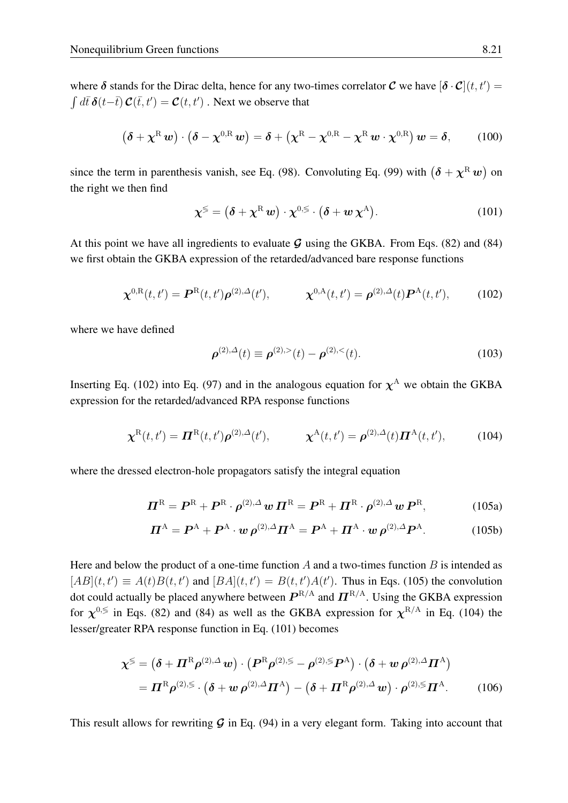where  $\delta$  stands for the Dirac delta, hence for any two-times correlator  $\mathcal C$  we have  $[\delta \cdot \mathcal C](t, t') =$  $\int d\bar{t} \, \boldsymbol{\delta}(t-\bar{t}) \, \boldsymbol{\mathcal{C}}(\bar{t},t') = \boldsymbol{\mathcal{C}}(t,t')$  . Next we observe that

$$
(\boldsymbol{\delta} + \boldsymbol{\chi}^{\mathrm{R}} \boldsymbol{w}) \cdot (\boldsymbol{\delta} - \boldsymbol{\chi}^{0,\mathrm{R}} \boldsymbol{w}) = \boldsymbol{\delta} + (\boldsymbol{\chi}^{\mathrm{R}} - \boldsymbol{\chi}^{0,\mathrm{R}} - \boldsymbol{\chi}^{\mathrm{R}} \boldsymbol{w} \cdot \boldsymbol{\chi}^{0,\mathrm{R}}) \boldsymbol{w} = \boldsymbol{\delta}, \qquad (100)
$$

since the term in parenthesis vanish, see Eq. [\(98\)](#page-19-2). Convoluting Eq. [\(99\)](#page-19-3) with  $(\delta + \chi^{\rm R} w)$  on the right we then find

<span id="page-20-3"></span>
$$
\chi^{\lessgtr} = (\boldsymbol{\delta} + \chi^{\rm R} \, \boldsymbol{w}) \cdot \chi^{0,\lessgtr} \cdot (\boldsymbol{\delta} + \boldsymbol{w} \, \chi^{\rm A}). \tag{101}
$$

At this point we have all ingredients to evaluate  $G$  using the GKBA. From Eqs. [\(82\)](#page-16-0) and [\(84\)](#page-16-3) we first obtain the GKBA expression of the retarded/advanced bare response functions

<span id="page-20-0"></span>
$$
\boldsymbol{\chi}^{0,\text{R}}(t,t') = \boldsymbol{P}^{\text{R}}(t,t')\boldsymbol{\rho}^{(2),\Delta}(t'), \qquad \boldsymbol{\chi}^{0,\text{A}}(t,t') = \boldsymbol{\rho}^{(2),\Delta}(t)\boldsymbol{P}^{\text{A}}(t,t'), \qquad (102)
$$

where we have defined

<span id="page-20-4"></span><span id="page-20-1"></span>
$$
\rho^{(2),\Delta}(t) \equiv \rho^{(2),>} (t) - \rho^{(2),<} (t). \tag{103}
$$

Inserting Eq. [\(102\)](#page-20-0) into Eq. [\(97\)](#page-19-1) and in the analogous equation for  $\chi^A$  we obtain the GKBA expression for the retarded/advanced RPA response functions

<span id="page-20-2"></span>
$$
\chi^{\rm R}(t,t') = \boldsymbol{\Pi}^{\rm R}(t,t')\boldsymbol{\rho}^{(2),\Delta}(t'), \qquad \chi^{\rm A}(t,t') = \boldsymbol{\rho}^{(2),\Delta}(t)\boldsymbol{\Pi}^{\rm A}(t,t'), \qquad (104)
$$

where the dressed electron-hole propagators satisfy the integral equation

$$
\boldsymbol{\Pi}^{\mathrm{R}} = \boldsymbol{P}^{\mathrm{R}} + \boldsymbol{P}^{\mathrm{R}} \cdot \boldsymbol{\rho}^{(2),\Delta} \boldsymbol{w} \, \boldsymbol{\Pi}^{\mathrm{R}} = \boldsymbol{P}^{\mathrm{R}} + \boldsymbol{\Pi}^{\mathrm{R}} \cdot \boldsymbol{\rho}^{(2),\Delta} \boldsymbol{w} \, \boldsymbol{P}^{\mathrm{R}}, \tag{105a}
$$

$$
\boldsymbol{\Pi}^{\mathbf{A}} = \boldsymbol{P}^{\mathbf{A}} + \boldsymbol{P}^{\mathbf{A}} \cdot \boldsymbol{w} \,\boldsymbol{\rho}^{(2),\Delta} \boldsymbol{\Pi}^{\mathbf{A}} = \boldsymbol{P}^{\mathbf{A}} + \boldsymbol{\Pi}^{\mathbf{A}} \cdot \boldsymbol{w} \,\boldsymbol{\rho}^{(2),\Delta} \boldsymbol{P}^{\mathbf{A}}.
$$
 (105b)

Here and below the product of a one-time function  $A$  and a two-times function  $B$  is intended as  $[AB](t, t') \equiv A(t)B(t, t')$  and  $[BA](t, t') = B(t, t')A(t')$ . Thus in Eqs. [\(105\)](#page-20-1) the convolution dot could actually be placed anywhere between  $P^{\rm R/A}$  and  $\mathbf{\Pi}^{\rm R/A}$ . Using the GKBA expression for  $\chi^{0,\lessgtr}$  in Eqs. [\(82\)](#page-16-0) and [\(84\)](#page-16-3) as well as the GKBA expression for  $\chi^{R/A}$  in Eq. [\(104\)](#page-20-2) the lesser/greater RPA response function in Eq. [\(101\)](#page-20-3) becomes

$$
\chi^{\lessgtr} = (\delta + \Pi^{\mathcal{R}} \rho^{(2),\Delta} w) \cdot (P^{\mathcal{R}} \rho^{(2),\lessgtr} - \rho^{(2),\lessgtr} P^{\mathcal{A}}) \cdot (\delta + w \rho^{(2),\Delta} \Pi^{\mathcal{A}})
$$
  
=  $\Pi^{\mathcal{R}} \rho^{(2),\lessgtr} \cdot (\delta + w \rho^{(2),\Delta} \Pi^{\mathcal{A}}) - (\delta + \Pi^{\mathcal{R}} \rho^{(2),\Delta} w) \cdot \rho^{(2),\lessgtr} \Pi^{\mathcal{A}}.$  (106)

This result allows for rewriting  $G$  in Eq. [\(94\)](#page-19-4) in a very elegant form. Taking into account that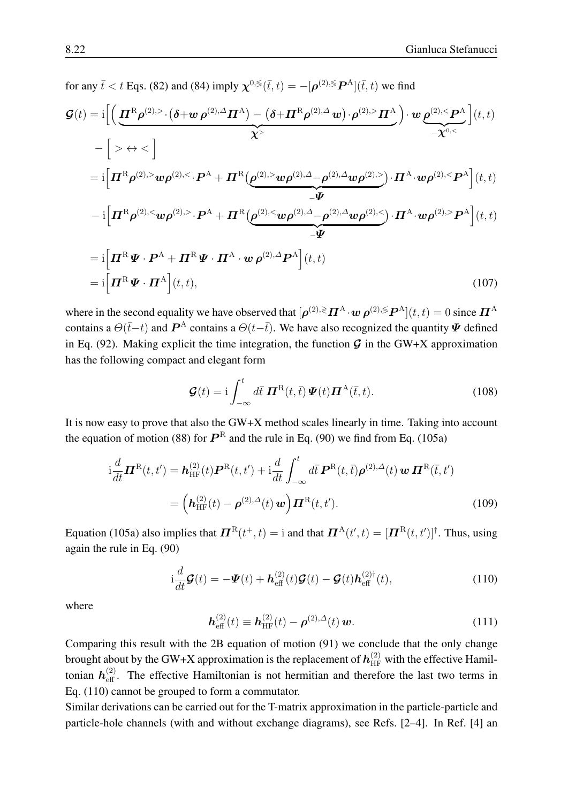for any 
$$
\bar{t} < t
$$
 Eqs. (82) and (84) imply  $\chi^{0,\leq}(\bar{t},t) = -[\rho^{(2),\leq}P^{\rm A}](\bar{t},t)$  we find  
\n
$$
\mathcal{G}(t) = i \Big[ \Big( \underbrace{\mathbf{H}^{\rm R} \rho^{(2),>} \cdot (\delta + w \rho^{(2),\Delta} \mathbf{H}^{\rm A}}_{\chi^{>}} \Big) - (\delta + \mathbf{H}^{\rm R} \rho^{(2),\Delta} \mathbf{w}) \cdot \rho^{(2),>} \mathbf{H}^{\rm A}}_{-\chi^{0,<}} \Big) \cdot w \underbrace{\rho^{(2),<} \mathbf{P}^{\rm A}}_{-\chi^{0,<}} \Big] (t,t)
$$
\n
$$
- \Big[ > \leftrightarrow < \Big]
$$
\n
$$
= i \Big[ \mathbf{H}^{\rm R} \rho^{(2),>} w \rho^{(2),<} \cdot \mathbf{P}^{\rm A} + \mathbf{H}^{\rm R} (\underbrace{\rho^{(2),>} w \rho^{(2),\Delta} - \rho^{(2),\Delta} w \rho^{(2),>}}_{-\Psi} \cdot \mathbf{H}^{\rm A} \cdot w \rho^{(2),<} \mathbf{P}^{\rm A} \Big] (t,t)
$$
\n
$$
- i \Big[ \mathbf{H}^{\rm R} \rho^{(2),<} w \rho^{(2),>} \cdot \mathbf{P}^{\rm A} + \mathbf{H}^{\rm R} (\underbrace{\rho^{(2),<} w \rho^{(2),\Delta} - \rho^{(2),\Delta} w \rho^{(2),<}}_{-\Psi} \cdot \mathbf{H}^{\rm A} \cdot w \rho^{(2),>} \mathbf{P}^{\rm A} \Big] (t,t)
$$
\n
$$
= i \Big[ \mathbf{H}^{\rm R} \Psi \cdot \mathbf{P}^{\rm A} + \mathbf{H}^{\rm R} \Psi \cdot \mathbf{H}^{\rm A} \cdot w \rho^{(2),\Delta} \mathbf{P}^{\rm A} \Big] (t,t)
$$
\n
$$
= i \Big[ \mathbf{H}^{\rm R} \Psi \cdot \mathbf{H}^{\rm A} \Big] (t,t), \tag{107}
$$

where in the second equality we have observed that  $[\bm{\rho}^{(2),\gtrless}\bm{\varPi}^{\rm A}\!\cdot\!\bm{w}\,\bm{\rho}^{(2),\lessgtr}\bm{P}^{\rm A}](t,t)=0$  since  $\bm{\varPi}^{\rm A}$ contains a  $\Theta(\bar{t}-t)$  and  $\bm{P}^{\rm A}$  contains a  $\Theta(t-\bar{t})$ . We have also recognized the quantity  $\bm{\Psi}$  defined in Eq. [\(92\)](#page-18-3). Making explicit the time integration, the function  $\mathcal G$  in the GW+X approximation has the following compact and elegant form

$$
\mathcal{G}(t) = \mathrm{i} \int_{-\infty}^{t} d\bar{t} \, \boldsymbol{\varPi}^{\mathrm{R}}(t,\bar{t}) \, \boldsymbol{\varPsi}(t) \boldsymbol{\varPi}^{\mathrm{A}}(\bar{t},t). \tag{108}
$$

It is now easy to prove that also the GW+X method scales linearly in time. Taking into account the equation of motion [\(88\)](#page-17-1) for  $P^R$  and the rule in Eq. [\(90\)](#page-18-4) we find from Eq. [\(105a\)](#page-20-4)

$$
\begin{split} \mathbf{i}\frac{d}{dt}\boldsymbol{\Pi}^{\mathrm{R}}(t,t') &= \boldsymbol{h}_{\mathrm{HF}}^{(2)}(t)\boldsymbol{P}^{\mathrm{R}}(t,t') + \mathbf{i}\frac{d}{dt}\int_{-\infty}^{t} d\bar{t}\,\boldsymbol{P}^{\mathrm{R}}(t,\bar{t})\boldsymbol{\rho}^{(2),\Delta}(t)\,\boldsymbol{w}\,\boldsymbol{\Pi}^{\mathrm{R}}(\bar{t},t') \\ &= \left(\boldsymbol{h}_{\mathrm{HF}}^{(2)}(t) - \boldsymbol{\rho}^{(2),\Delta}(t)\,\boldsymbol{w}\right)\boldsymbol{\Pi}^{\mathrm{R}}(t,t'). \end{split} \tag{109}
$$

Equation [\(105a\)](#page-20-4) also implies that  $\bm{\Pi}^{\rm R}(t^+,t) =$  i and that  $\bm{\Pi}^{\rm A}(t',t) = [\bm{\Pi}^{\rm R}(t,t')]^{\dagger}$ . Thus, using again the rule in Eq. [\(90\)](#page-18-4)

<span id="page-21-0"></span>
$$
\mathrm{i}\frac{d}{dt}\mathcal{G}(t) = -\mathcal{Y}(t) + \mathcal{h}_{\text{eff}}^{(2)}(t)\mathcal{G}(t) - \mathcal{G}(t)\mathcal{h}_{\text{eff}}^{(2)\dagger}(t),\tag{110}
$$

where

<span id="page-21-1"></span>
$$
\mathbf{h}_{\text{eff}}^{(2)}(t) \equiv \mathbf{h}_{\text{HF}}^{(2)}(t) - \boldsymbol{\rho}^{(2),\Delta}(t) \, \boldsymbol{w}.\tag{111}
$$

Comparing this result with the 2B equation of motion [\(91\)](#page-18-0) we conclude that the only change brought about by the GW+X approximation is the replacement of  $h_{\rm HF}^{(2)}$  with the effective Hamiltonian  $h_{\text{eff}}^{(2)}$ . The effective Hamiltonian is not hermitian and therefore the last two terms in Eq. [\(110\)](#page-21-0) cannot be grouped to form a commutator.

Similar derivations can be carried out for the T-matrix approximation in the particle-particle and particle-hole channels (with and without exchange diagrams), see Refs. [\[2](#page-25-1)[–4\]](#page-25-16). In Ref. [\[4\]](#page-25-16) an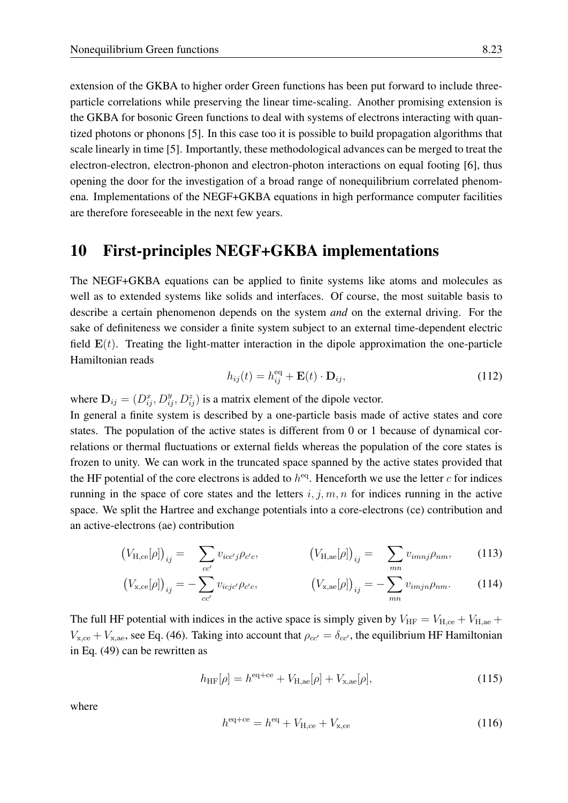an active-electrons (ae) contribution

extension of the GKBA to higher order Green functions has been put forward to include threeparticle correlations while preserving the linear time-scaling. Another promising extension is the GKBA for bosonic Green functions to deal with systems of electrons interacting with quantized photons or phonons [\[5\]](#page-25-18). In this case too it is possible to build propagation algorithms that scale linearly in time [\[5\]](#page-25-18). Importantly, these methodological advances can be merged to treat the electron-electron, electron-phonon and electron-photon interactions on equal footing [\[6\]](#page-25-2), thus opening the door for the investigation of a broad range of nonequilibrium correlated phenomena. Implementations of the NEGF+GKBA equations in high performance computer facilities are therefore foreseeable in the next few years.

## <span id="page-22-0"></span>10 First-principles NEGF+GKBA implementations

The NEGF+GKBA equations can be applied to finite systems like atoms and molecules as well as to extended systems like solids and interfaces. Of course, the most suitable basis to describe a certain phenomenon depends on the system *and* on the external driving. For the sake of definiteness we consider a finite system subject to an external time-dependent electric field  $E(t)$ . Treating the light-matter interaction in the dipole approximation the one-particle Hamiltonian reads

<span id="page-22-1"></span>
$$
h_{ij}(t) = h_{ij}^{\text{eq}} + \mathbf{E}(t) \cdot \mathbf{D}_{ij},
$$
\n(112)

where  $\mathbf{D}_{ij} = (D_{ij}^x, D_{ij}^y, D_{ij}^z)$  is a matrix element of the dipole vector. In general a finite system is described by a one-particle basis made of active states and core states. The population of the active states is different from 0 or 1 because of dynamical correlations or thermal fluctuations or external fields whereas the population of the core states is frozen to unity. We can work in the truncated space spanned by the active states provided that the HF potential of the core electrons is added to  $h^{eq}$ . Henceforth we use the letter c for indices running in the space of core states and the letters  $i, j, m, n$  for indices running in the active space. We split the Hartree and exchange potentials into a core-electrons (ce) contribution and

$$
\left(V_{\mathrm{H,ce}}[\rho]\right)_{ij} = \sum_{i} v_{icc'j} \rho_{c'c}, \qquad \left(V_{\mathrm{H,ae}}[\rho]\right)_{ij} = \sum_{i} v_{imnj} \rho_{nm}, \qquad (1
$$

$$
(V_{\mathbf{x},\mathbf{ce}}[\rho])_{ij} = -\sum_{cc'}^{cc'} v_{icjc'} \rho_{c'c}, \qquad (V_{\mathbf{x},\mathbf{ae}}[\rho])_{ij} = -\sum_{mn}^{mn} v_{imjn} \rho_{nm}.
$$
 (114)

The full HF potential with indices in the active space is simply given by  $V_{\text{HF}} = V_{\text{H,ce}} + V_{\text{H,ae}} +$  $V_{\text{x,ce}} + V_{\text{x,ae}}$ , see Eq. [\(46\)](#page-10-3). Taking into account that  $\rho_{cc'} = \delta_{cc'}$ , the equilibrium HF Hamiltonian in Eq. [\(49\)](#page-11-3) can be rewritten as

<span id="page-22-2"></span>
$$
h_{\rm HF}[\rho] = h^{\rm eq+ce} + V_{\rm H,ae}[\rho] + V_{\rm x,ae}[\rho],\tag{115}
$$

where

<span id="page-22-3"></span>
$$
h^{\text{eq+ce}} = h^{\text{eq}} + V_{\text{H,ce}} + V_{\text{x,ce}} \tag{116}
$$

 $13)$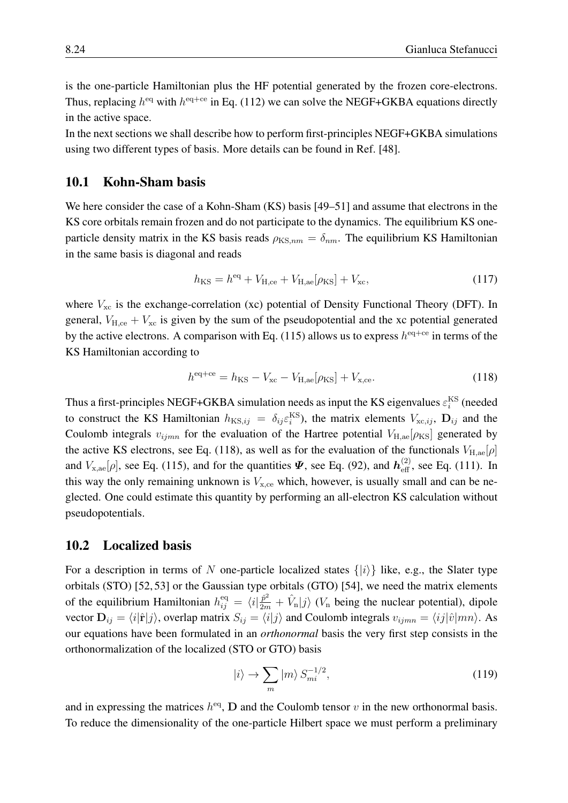is the one-particle Hamiltonian plus the HF potential generated by the frozen core-electrons. Thus, replacing  $h^{\text{eq}}$  with  $h^{\text{eq+ce}}$  in Eq. [\(112\)](#page-22-1) we can solve the NEGF+GKBA equations directly in the active space.

In the next sections we shall describe how to perform first-principles NEGF+GKBA simulations using two different types of basis. More details can be found in Ref. [\[48\]](#page-27-3).

#### <span id="page-23-0"></span>10.1 Kohn-Sham basis

We here consider the case of a Kohn-Sham (KS) basis [\[49](#page-27-4)[–51\]](#page-27-5) and assume that electrons in the KS core orbitals remain frozen and do not participate to the dynamics. The equilibrium KS oneparticle density matrix in the KS basis reads  $\rho_{KS,nm} = \delta_{nm}$ . The equilibrium KS Hamiltonian in the same basis is diagonal and reads

$$
h_{\rm KS} = h^{\rm eq} + V_{\rm H,ce} + V_{\rm H,ae}[\rho_{\rm KS}] + V_{\rm xc},\tag{117}
$$

where  $V_{\text{xc}}$  is the exchange-correlation (xc) potential of Density Functional Theory (DFT). In general,  $V_{\text{H,ce}} + V_{\text{xc}}$  is given by the sum of the pseudopotential and the xc potential generated by the active electrons. A comparison with Eq. [\(115\)](#page-22-2) allows us to express  $h^{eq+ce}$  in terms of the KS Hamiltonian according to

<span id="page-23-2"></span>
$$
h^{\text{eq+ce}} = h_{\text{KS}} - V_{\text{xc}} - V_{\text{H,ae}}[\rho_{\text{KS}}] + V_{\text{x,ce}}.
$$
\n(118)

Thus a first-principles NEGF+GKBA simulation needs as input the KS eigenvalues  $\varepsilon_i^{\text{KS}}$  (needed to construct the KS Hamiltonian  $h_{\text{KS},ij} = \delta_{ij} \varepsilon_i^{\text{KS}}$ , the matrix elements  $V_{\text{xc},ij}$ ,  $\mathbf{D}_{ij}$  and the Coulomb integrals  $v_{ijmn}$  for the evaluation of the Hartree potential  $V_{H,ae}[\rho_{KS}]$  generated by the active KS electrons, see Eq. [\(118\)](#page-23-2), as well as for the evaluation of the functionals  $V_{\text{H,ae}}[\rho]$ and  $V_{\text{x,ae}}[\rho]$ , see Eq. [\(115\)](#page-22-2), and for the quantities  $\mathbf{\Psi}$ , see Eq. [\(92\)](#page-18-3), and  $h_{\text{eff}}^{(2)}$ , see Eq. [\(111\)](#page-21-1). In this way the only remaining unknown is  $V_{\text{x,ce}}$  which, however, is usually small and can be neglected. One could estimate this quantity by performing an all-electron KS calculation without pseudopotentials.

#### <span id="page-23-1"></span>10.2 Localized basis

For a description in terms of N one-particle localized states  $\{|i\rangle\}$  like, e.g., the Slater type orbitals (STO) [\[52,](#page-27-6) [53\]](#page-27-7) or the Gaussian type orbitals (GTO) [\[54\]](#page-27-8), we need the matrix elements of the equilibrium Hamiltonian  $h_{ij}^{\text{eq}} = \langle i|\frac{\hat{p}^2}{2m} + \hat{V}_n|j\rangle$  ( $V_n$  being the nuclear potential), dipole vector  $D_{ij} = \langle i|\hat{\mathbf{r}}|j\rangle$ , overlap matrix  $S_{ij} = \langle i|j\rangle$  and Coulomb integrals  $v_{ijmn} = \langle ij|\hat{v}|mn\rangle$ . As our equations have been formulated in an *orthonormal* basis the very first step consists in the orthonormalization of the localized (STO or GTO) basis

<span id="page-23-3"></span>
$$
|i\rangle \to \sum_{m} |m\rangle S_{mi}^{-1/2},\tag{119}
$$

and in expressing the matrices  $h^{eq}$ , D and the Coulomb tensor v in the new orthonormal basis. To reduce the dimensionality of the one-particle Hilbert space we must perform a preliminary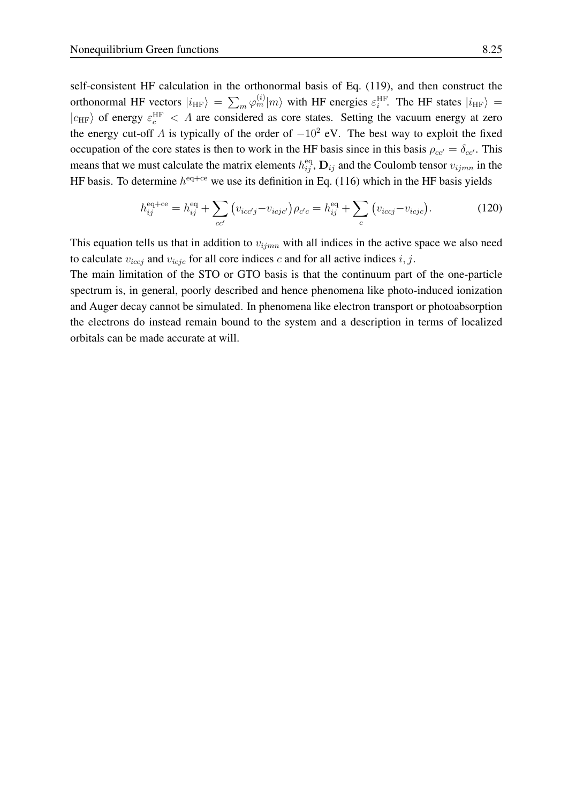self-consistent HF calculation in the orthonormal basis of Eq. [\(119\)](#page-23-3), and then construct the orthonormal HF vectors  $|i_{HF}\rangle = \sum_m \varphi_m^{(i)}|m\rangle$  with HF energies  $\varepsilon_i^{\text{HF}}$ . The HF states  $|i_{HF}\rangle =$  $|c_{\text{HF}}\rangle$  of energy  $\varepsilon_c^{\text{HF}} < \Lambda$  are considered as core states. Setting the vacuum energy at zero the energy cut-off  $\Lambda$  is typically of the order of  $-10^2$  eV. The best way to exploit the fixed occupation of the core states is then to work in the HF basis since in this basis  $\rho_{cc'} = \delta_{cc'}$ . This means that we must calculate the matrix elements  $h_{ij}^{\text{eq}}, \mathbf{D}_{ij}$  and the Coulomb tensor  $v_{ijmn}$  in the HF basis. To determine  $h^{\text{eq+ce}}$  we use its definition in Eq. [\(116\)](#page-22-3) which in the HF basis yields

$$
h_{ij}^{\text{eq+ce}} = h_{ij}^{\text{eq}} + \sum_{cc'} \left( v_{icc'j} - v_{icjc'} \right) \rho_{c'c} = h_{ij}^{\text{eq}} + \sum_{c} \left( v_{iccj} - v_{icjc} \right). \tag{120}
$$

This equation tells us that in addition to  $v_{ijmn}$  with all indices in the active space we also need to calculate  $v_{icci}$  and  $v_{icjc}$  for all core indices c and for all active indices i, j.

The main limitation of the STO or GTO basis is that the continuum part of the one-particle spectrum is, in general, poorly described and hence phenomena like photo-induced ionization and Auger decay cannot be simulated. In phenomena like electron transport or photoabsorption the electrons do instead remain bound to the system and a description in terms of localized orbitals can be made accurate at will.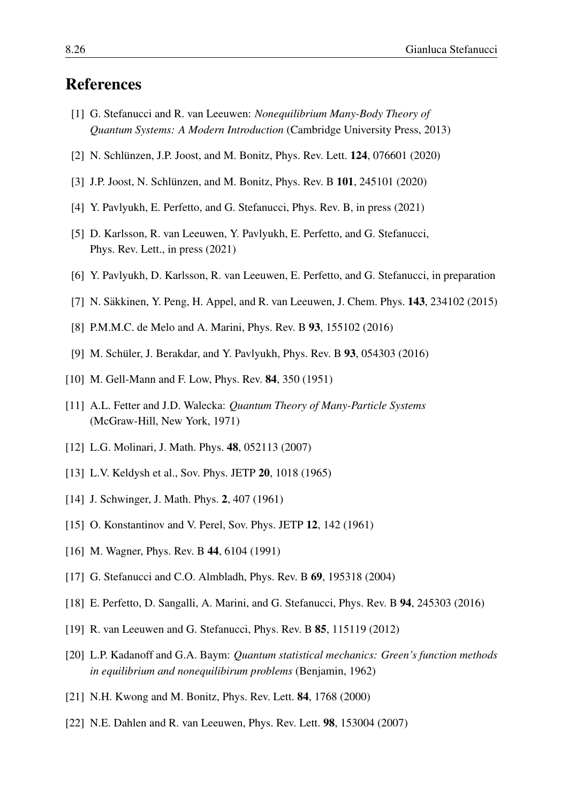## References

- <span id="page-25-0"></span>[1] G. Stefanucci and R. van Leeuwen: *Nonequilibrium Many-Body Theory of Quantum Systems: A Modern Introduction* (Cambridge University Press, 2013)
- <span id="page-25-1"></span>[2] N. Schlünzen, J.P. Joost, and M. Bonitz, Phys. Rev. Lett. **124**, 076601 (2020)
- <span id="page-25-17"></span>[3] J.P. Joost, N. Schlünzen, and M. Bonitz, Phys. Rev. B  $101$ , 245101 (2020)
- <span id="page-25-16"></span>[4] Y. Pavlyukh, E. Perfetto, and G. Stefanucci, Phys. Rev. B, in press (2021)
- <span id="page-25-18"></span>[5] D. Karlsson, R. van Leeuwen, Y. Pavlyukh, E. Perfetto, and G. Stefanucci, Phys. Rev. Lett., in press (2021)
- <span id="page-25-2"></span>[6] Y. Pavlyukh, D. Karlsson, R. van Leeuwen, E. Perfetto, and G. Stefanucci, in preparation
- <span id="page-25-3"></span>[7] N. Säkkinen, Y. Peng, H. Appel, and R. van Leeuwen, J. Chem. Phys.  $143$ ,  $234102$  (2015)
- [8] P.M.M.C. de Melo and A. Marini, Phys. Rev. B 93, 155102 (2016)
- <span id="page-25-4"></span>[9] M. Schüler, J. Berakdar, and Y. Pavlyukh, Phys. Rev. B 93, 054303 (2016)
- <span id="page-25-5"></span>[10] M. Gell-Mann and F. Low, Phys. Rev. **84**, 350 (1951)
- [11] A.L. Fetter and J.D. Walecka: *Quantum Theory of Many-Particle Systems* (McGraw-Hill, New York, 1971)
- <span id="page-25-6"></span>[12] L.G. Molinari, J. Math. Phys. **48**, 052113 (2007)
- <span id="page-25-7"></span>[13] L.V. Keldysh et al., Sov. Phys. JETP **20**, 1018 (1965)
- <span id="page-25-8"></span>[14] J. Schwinger, J. Math. Phys. 2, 407 (1961)
- <span id="page-25-9"></span>[15] O. Konstantinov and V. Perel, Sov. Phys. JETP 12, 142 (1961)
- <span id="page-25-10"></span>[16] M. Wagner, Phys. Rev. B 44, 6104 (1991)
- <span id="page-25-11"></span>[17] G. Stefanucci and C.O. Almbladh, Phys. Rev. B 69, 195318 (2004)
- <span id="page-25-12"></span>[18] E. Perfetto, D. Sangalli, A. Marini, and G. Stefanucci, Phys. Rev. B 94, 245303 (2016)
- <span id="page-25-13"></span>[19] R. van Leeuwen and G. Stefanucci, Phys. Rev. B 85, 115119 (2012)
- <span id="page-25-14"></span>[20] L.P. Kadanoff and G.A. Baym: *Quantum statistical mechanics: Green's function methods in equilibrium and nonequilibirum problems* (Benjamin, 1962)
- <span id="page-25-15"></span>[21] N.H. Kwong and M. Bonitz, Phys. Rev. Lett. 84, 1768 (2000)
- [22] N.E. Dahlen and R. van Leeuwen, Phys. Rev. Lett. 98, 153004 (2007)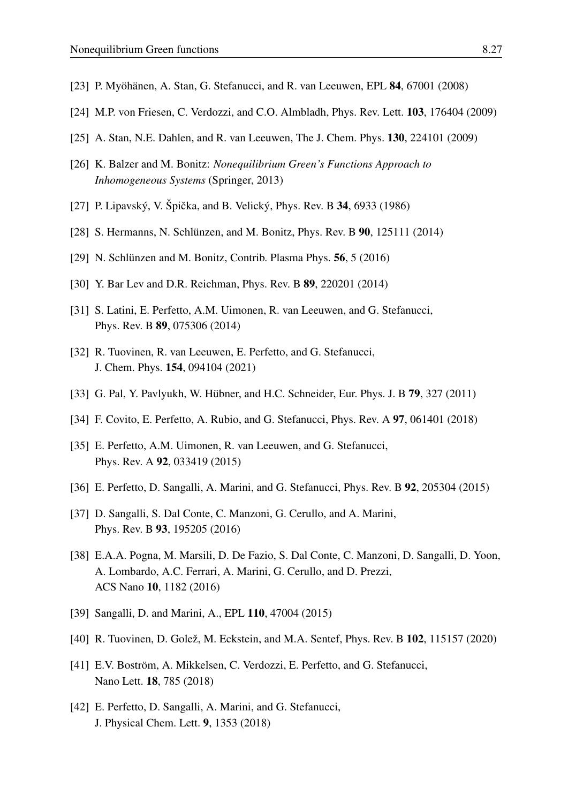- [23] P. Myöhänen, A. Stan, G. Stefanucci, and R. van Leeuwen, EPL  $84$ , 67001 (2008)
- <span id="page-26-0"></span>[24] M.P. von Friesen, C. Verdozzi, and C.O. Almbladh, Phys. Rev. Lett. 103, 176404 (2009)
- <span id="page-26-1"></span>[25] A. Stan, N.E. Dahlen, and R. van Leeuwen, The J. Chem. Phys. **130**, 224101 (2009)
- <span id="page-26-2"></span>[26] K. Balzer and M. Bonitz: *Nonequilibrium Green's Functions Approach to Inhomogeneous Systems* (Springer, 2013)
- <span id="page-26-3"></span>[27] P. Lipavský, V. Špička, and B. Velický, Phys. Rev. B  $34$ , 6933 (1986)
- <span id="page-26-4"></span>[28] S. Hermanns, N. Schlünzen, and M. Bonitz, Phys. Rev. B  $90$ , 125111 (2014)
- <span id="page-26-5"></span>[29] N. Schlünzen and M. Bonitz, Contrib. Plasma Phys.  $56$ ,  $5$  (2016)
- <span id="page-26-6"></span>[30] Y. Bar Lev and D.R. Reichman, Phys. Rev. B 89, 220201 (2014)
- <span id="page-26-7"></span>[31] S. Latini, E. Perfetto, A.M. Uimonen, R. van Leeuwen, and G. Stefanucci, Phys. Rev. B 89, 075306 (2014)
- <span id="page-26-8"></span>[32] R. Tuovinen, R. van Leeuwen, E. Perfetto, and G. Stefanucci, J. Chem. Phys. 154, 094104 (2021)
- <span id="page-26-9"></span>[33] G. Pal, Y. Pavlyukh, W. Hübner, and H.C. Schneider, Eur. Phys. J. B  $79$ ,  $327$  (2011)
- <span id="page-26-10"></span>[34] F. Covito, E. Perfetto, A. Rubio, and G. Stefanucci, Phys. Rev. A 97, 061401 (2018)
- <span id="page-26-11"></span>[35] E. Perfetto, A.M. Uimonen, R. van Leeuwen, and G. Stefanucci, Phys. Rev. A 92, 033419 (2015)
- [36] E. Perfetto, D. Sangalli, A. Marini, and G. Stefanucci, Phys. Rev. B 92, 205304 (2015)
- [37] D. Sangalli, S. Dal Conte, C. Manzoni, G. Cerullo, and A. Marini, Phys. Rev. B 93, 195205 (2016)
- <span id="page-26-12"></span>[38] E.A.A. Pogna, M. Marsili, D. De Fazio, S. Dal Conte, C. Manzoni, D. Sangalli, D. Yoon, A. Lombardo, A.C. Ferrari, A. Marini, G. Cerullo, and D. Prezzi, ACS Nano 10, 1182 (2016)
- <span id="page-26-13"></span>[39] Sangalli, D. and Marini, A., EPL 110, 47004 (2015)
- <span id="page-26-14"></span>[40] R. Tuovinen, D. Golež, M. Eckstein, and M.A. Sentef, Phys. Rev. B 102, 115157 (2020)
- <span id="page-26-15"></span>[41] E.V. Boström, A. Mikkelsen, C. Verdozzi, E. Perfetto, and G. Stefanucci, Nano Lett. 18, 785 (2018)
- <span id="page-26-16"></span>[42] E. Perfetto, D. Sangalli, A. Marini, and G. Stefanucci, J. Physical Chem. Lett. 9, 1353 (2018)